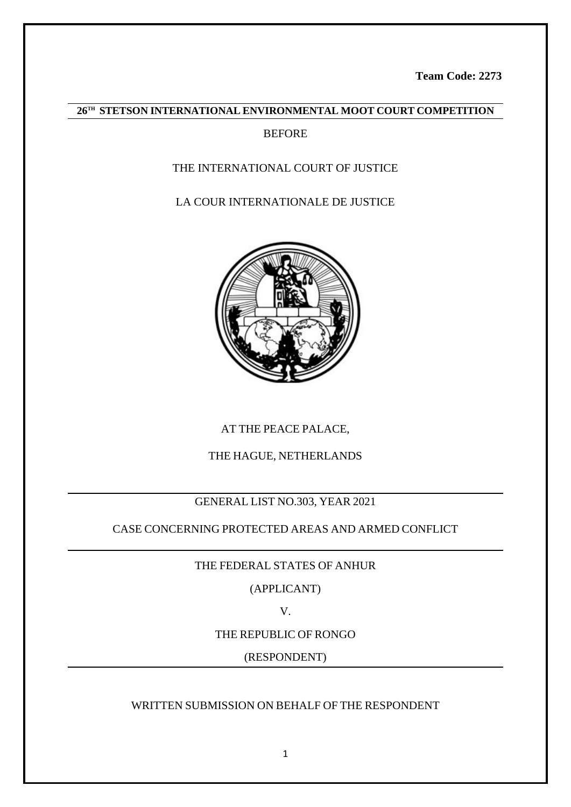**Team Code: 2273**

# **26TH STETSON INTERNATIONAL ENVIRONMENTAL MOOT COURT COMPETITION**

# **BEFORE**

# THE INTERNATIONAL COURT OF JUSTICE

# LA COUR INTERNATIONALE DE JUSTICE



AT THE PEACE PALACE,

# THE HAGUE, NETHERLANDS

# GENERAL LIST NO.303, YEAR 2021

# CASE CONCERNING PROTECTED AREAS AND ARMED CONFLICT

# THE FEDERAL STATES OF ANHUR

(APPLICANT)

V.

# THE REPUBLIC OF RONGO

(RESPONDENT)

# WRITTEN SUBMISSION ON BEHALF OF THE RESPONDENT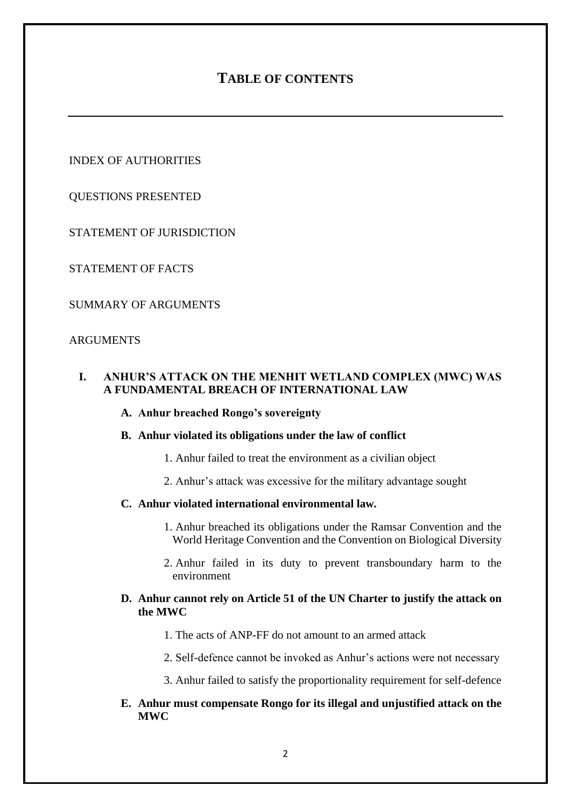# **TABLE OF CONTENTS**

INDEX OF AUTHORITIES

QUESTIONS PRESENTED

STATEMENT OF JURISDICTION

STATEMENT OF FACTS

SUMMARY OF ARGUMENTS

### ARGUMENTS

# **I. ANHUR'S ATTACK ON THE MENHIT WETLAND COMPLEX (MWC) WAS A FUNDAMENTAL BREACH OF INTERNATIONAL LAW**

# **A. Anhur breached Rongo's sovereignty**

### **B. Anhur violated its obligations under the law of conflict**

- 1. Anhur failed to treat the environment as a civilian object
- 2. Anhur's attack was excessive for the military advantage sought

### **C. Anhur violated international environmental law.**

- 1. Anhur breached its obligations under the Ramsar Convention and the World Heritage Convention and the Convention on Biological Diversity
- 2. Anhur failed in its duty to prevent transboundary harm to the environment

### **D. Anhur cannot rely on Article 51 of the UN Charter to justify the attack on the MWC**

- 1. The acts of ANP-FF do not amount to an armed attack
- 2. Self-defence cannot be invoked as Anhur's actions were not necessary
- 3. Anhur failed to satisfy the proportionality requirement for self-defence

### **E. Anhur must compensate Rongo for its illegal and unjustified attack on the MWC**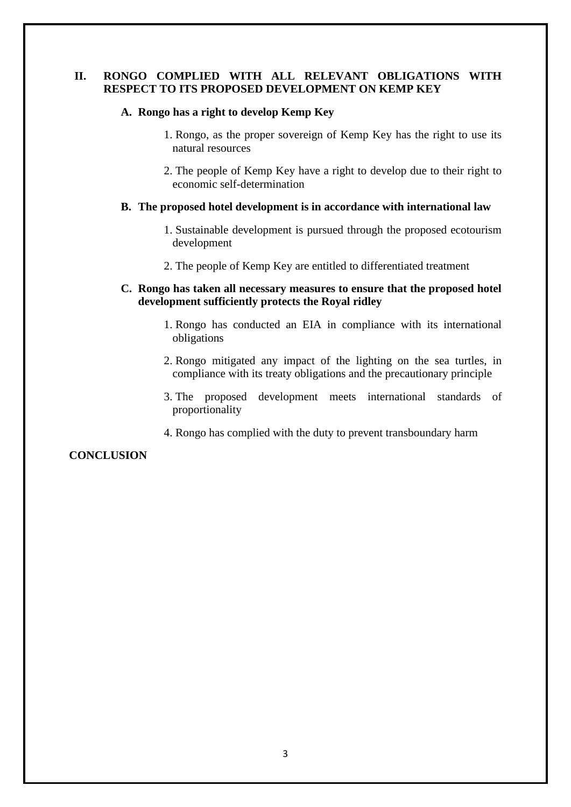### **II. RONGO COMPLIED WITH ALL RELEVANT OBLIGATIONS WITH RESPECT TO ITS PROPOSED DEVELOPMENT ON KEMP KEY**

#### **A. Rongo has a right to develop Kemp Key**

- 1. Rongo, as the proper sovereign of Kemp Key has the right to use its natural resources
- 2. The people of Kemp Key have a right to develop due to their right to economic self-determination

#### **B. The proposed hotel development is in accordance with international law**

- 1. Sustainable development is pursued through the proposed ecotourism development
- 2. The people of Kemp Key are entitled to differentiated treatment

### **C. Rongo has taken all necessary measures to ensure that the proposed hotel development sufficiently protects the Royal ridley**

- 1. Rongo has conducted an EIA in compliance with its international obligations
- 2. Rongo mitigated any impact of the lighting on the sea turtles, in compliance with its treaty obligations and the precautionary principle
- 3. The proposed development meets international standards of proportionality
- 4. Rongo has complied with the duty to prevent transboundary harm

### **CONCLUSION**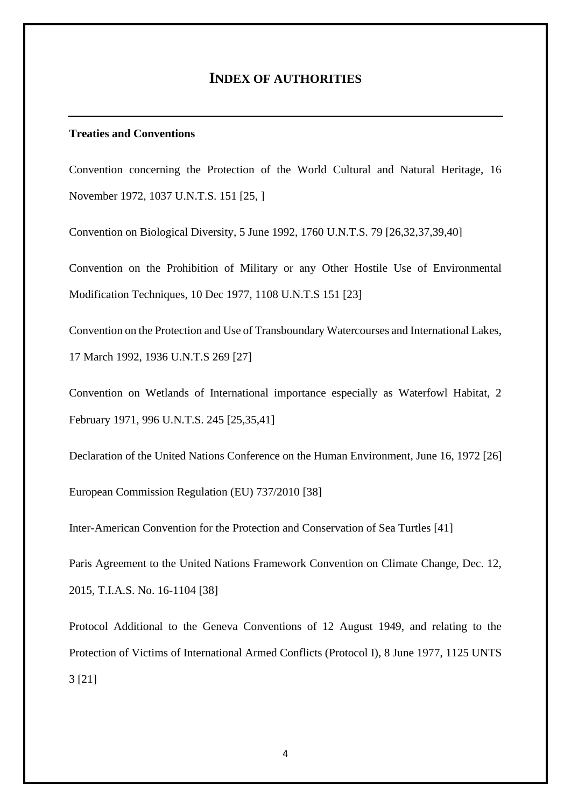# **INDEX OF AUTHORITIES**

### **Treaties and Conventions**

Convention concerning the Protection of the World Cultural and Natural Heritage, 16 November 1972, 1037 U.N.T.S. 151 [25, ]

Convention on Biological Diversity, 5 June 1992, 1760 U.N.T.S. 79 [26,32,37,39,40]

Convention on the Prohibition of Military or any Other Hostile Use of Environmental Modification Techniques, 10 Dec 1977, 1108 U.N.T.S 151 [23]

Convention on the Protection and Use of Transboundary Watercourses and International Lakes, 17 March 1992, 1936 U.N.T.S 269 [27]

Convention on Wetlands of International importance especially as Waterfowl Habitat, 2 February 1971, 996 U.N.T.S. 245 [25,35,41]

Declaration of the United Nations Conference on the Human Environment, June 16, 1972 [26]

European Commission Regulation (EU) 737/2010 [38]

Inter-American Convention for the Protection and Conservation of Sea Turtles [41]

Paris Agreement to the United Nations Framework Convention on Climate Change, Dec. 12, 2015, T.I.A.S. No. 16-1104 [38]

Protocol Additional to the Geneva Conventions of 12 August 1949, and relating to the Protection of Victims of International Armed Conflicts (Protocol I), 8 June 1977, 1125 UNTS 3 [21]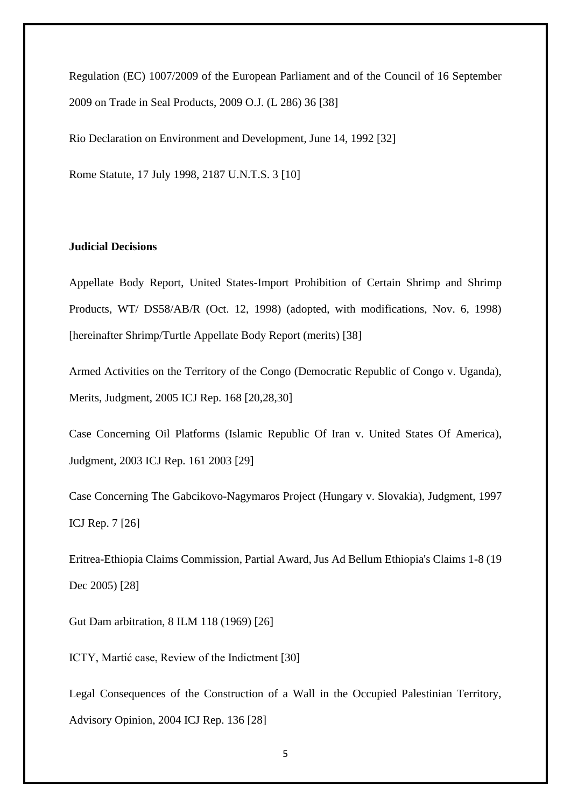Regulation (EC) 1007/2009 of the European Parliament and of the Council of 16 September 2009 on Trade in Seal Products, 2009 O.J. (L 286) 36 [38]

Rio Declaration on Environment and Development, June 14, 1992 [32]

Rome Statute, 17 July 1998, 2187 U.N.T.S. 3 [10]

### **Judicial Decisions**

Appellate Body Report, United States-Import Prohibition of Certain Shrimp and Shrimp Products, WT/ DS58/AB/R (Oct. 12, 1998) (adopted, with modifications, Nov. 6, 1998) [hereinafter Shrimp/Turtle Appellate Body Report (merits) [38]

Armed Activities on the Territory of the Congo (Democratic Republic of Congo v. Uganda), Merits, Judgment, 2005 ICJ Rep. 168 [20,28,30]

Case Concerning Oil Platforms (Islamic Republic Of Iran v. United States Of America), Judgment, 2003 ICJ Rep. 161 2003 [29]

Case Concerning The Gabcikovo-Nagymaros Project (Hungary v. Slovakia), Judgment, 1997 ICJ Rep. 7 [26]

Eritrea-Ethiopia Claims Commission, Partial Award, Jus Ad Bellum Ethiopia's Claims 1-8 (19 Dec 2005) [28]

Gut Dam arbitration, 8 ILM 118 (1969) [26]

ICTY, Martić case, Review of the Indictment [30]

Legal Consequences of the Construction of a Wall in the Occupied Palestinian Territory, Advisory Opinion, 2004 ICJ Rep. 136 [28]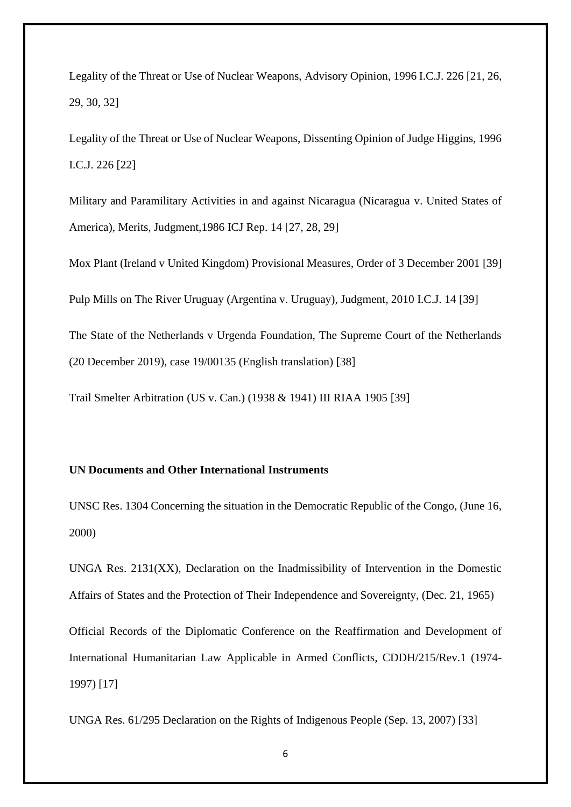Legality of the Threat or Use of Nuclear Weapons, Advisory Opinion, 1996 I.C.J. 226 [21, 26, 29, 30, 32]

Legality of the Threat or Use of Nuclear Weapons, Dissenting Opinion of Judge Higgins, 1996 I.C.J. 226 [22]

Military and Paramilitary Activities in and against Nicaragua (Nicaragua v. United States of America), Merits, Judgment,1986 ICJ Rep. 14 [27, 28, 29]

Mox Plant (Ireland v United Kingdom) Provisional Measures, Order of 3 December 2001 [39]

Pulp Mills on The River Uruguay (Argentina v. Uruguay), Judgment, 2010 I.C.J. 14 [39]

The State of the Netherlands v Urgenda Foundation, The Supreme Court of the Netherlands (20 December 2019), case 19/00135 (English translation) [38]

Trail Smelter Arbitration (US v. Can.) (1938 & 1941) III RIAA 1905 [39]

### **UN Documents and Other International Instruments**

UNSC Res. 1304 Concerning the situation in the Democratic Republic of the Congo, (June 16, 2000)

UNGA Res. 2131(XX), Declaration on the Inadmissibility of Intervention in the Domestic Affairs of States and the Protection of Their Independence and Sovereignty, (Dec. 21, 1965)

Official Records of the Diplomatic Conference on the Reaffirmation and Development of International Humanitarian Law Applicable in Armed Conflicts, CDDH/215/Rev.1 (1974- 1997) [17]

UNGA Res. 61/295 Declaration on the Rights of Indigenous People (Sep. 13, 2007) [33]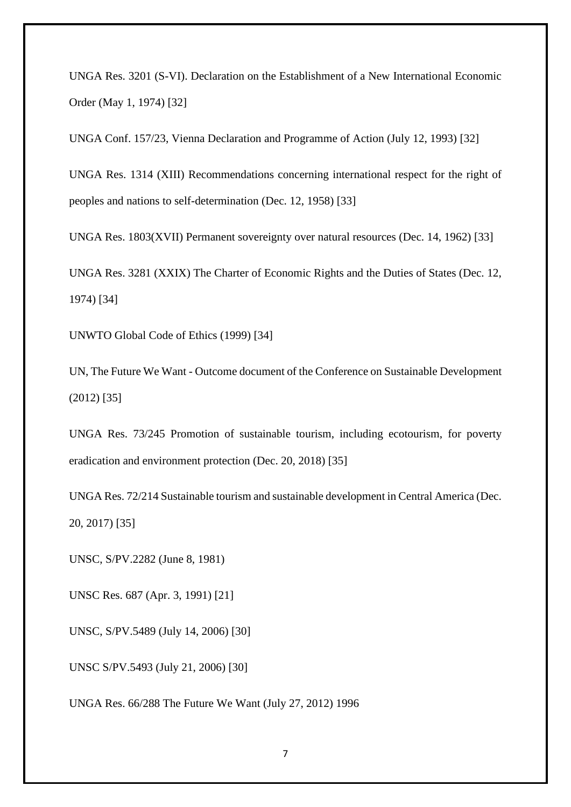UNGA Res. 3201 (S-VI). Declaration on the Establishment of a New International Economic Order (May 1, 1974) [32]

UNGA Conf. 157/23, Vienna Declaration and Programme of Action (July 12, 1993) [32]

UNGA Res. 1314 (XIII) Recommendations concerning international respect for the right of peoples and nations to self-determination (Dec. 12, 1958) [33]

UNGA Res. 1803(XVII) Permanent sovereignty over natural resources (Dec. 14, 1962) [33]

UNGA Res. 3281 (XXIX) The Charter of Economic Rights and the Duties of States (Dec. 12, 1974) [34]

UNWTO Global Code of Ethics (1999) [34]

UN, The Future We Want - Outcome document of the Conference on Sustainable Development (2012) [35]

UNGA Res. 73/245 Promotion of sustainable tourism, including ecotourism, for poverty eradication and environment protection (Dec. 20, 2018) [35]

UNGA Res. 72/214 Sustainable tourism and sustainable development in Central America (Dec. 20, 2017) [35]

UNSC, S/PV.2282 (June 8, 1981)

UNSC Res. 687 (Apr. 3, 1991) [21]

UNSC, S/PV.5489 (July 14, 2006) [30]

UNSC S/PV.5493 (July 21, 2006) [30]

UNGA Res. 66/288 The Future We Want (July 27, 2012) 1996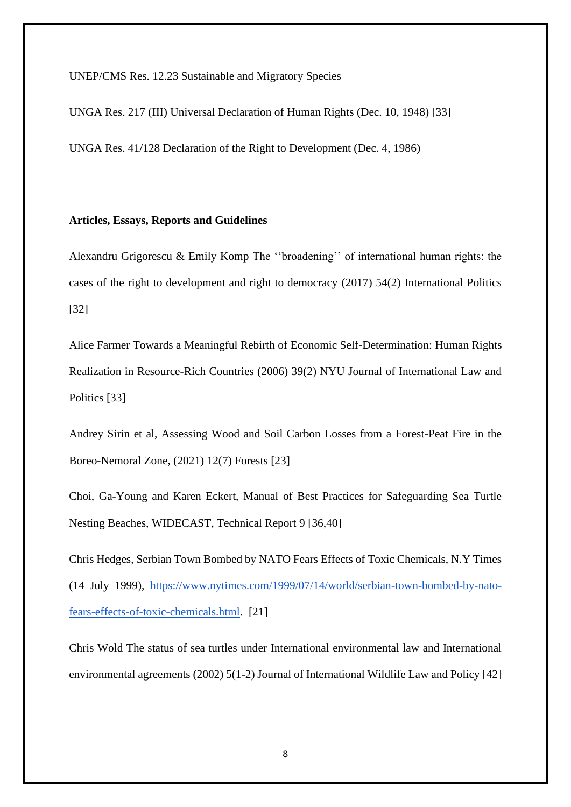UNEP/CMS Res. 12.23 Sustainable and Migratory Species

UNGA Res. 217 (III) Universal Declaration of Human Rights (Dec. 10, 1948) [33]

UNGA Res. 41/128 Declaration of the Right to Development (Dec. 4, 1986)

#### **Articles, Essays, Reports and Guidelines**

Alexandru Grigorescu & Emily Komp The ''broadening'' of international human rights: the cases of the right to development and right to democracy (2017) 54(2) International Politics [32]

Alice Farmer Towards a Meaningful Rebirth of Economic Self-Determination: Human Rights Realization in Resource-Rich Countries (2006) 39(2) NYU Journal of International Law and Politics [33]

Andrey Sirin et al, Assessing Wood and Soil Carbon Losses from a Forest-Peat Fire in the Boreo-Nemoral Zone, (2021) 12(7) Forests [23]

Choi, Ga-Young and Karen Eckert, Manual of Best Practices for Safeguarding Sea Turtle Nesting Beaches, WIDECAST, Technical Report 9 [36,40]

Chris Hedges, Serbian Town Bombed by NATO Fears Effects of Toxic Chemicals, N.Y Times (14 July 1999), [https://www.nytimes.com/1999/07/14/world/serbian-town-bombed-by-nato](https://www.nytimes.com/1999/07/14/world/serbian-town-bombed-by-nato-fears-effects-of-toxic-chemicals.html)[fears-effects-of-toxic-chemicals.html.](https://www.nytimes.com/1999/07/14/world/serbian-town-bombed-by-nato-fears-effects-of-toxic-chemicals.html) [21]

Chris Wold The status of sea turtles under International environmental law and International environmental agreements (2002) 5(1-2) Journal of International Wildlife Law and Policy [42]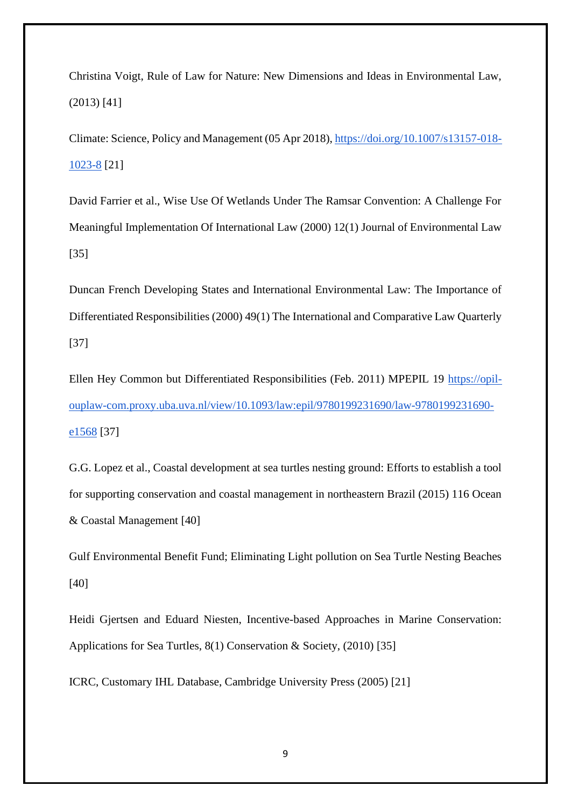Christina Voigt, Rule of Law for Nature: New Dimensions and Ideas in Environmental Law, (2013) [41]

Climate: Science, Policy and Management (05 Apr 2018), [https://doi.org/10.1007/s13157-018-](https://doi.org/10.1007/s13157-018-1023-8) [1023-8](https://doi.org/10.1007/s13157-018-1023-8) [21]

David Farrier et al., Wise Use Of Wetlands Under The Ramsar Convention: A Challenge For Meaningful Implementation Of International Law (2000) 12(1) Journal of Environmental Law [35]

Duncan French Developing States and International Environmental Law: The Importance of Differentiated Responsibilities (2000) 49(1) The International and Comparative Law Quarterly [37]

Ellen Hey Common but Differentiated Responsibilities (Feb. 2011) MPEPIL 19 [https://opil](https://opil-ouplaw-com.proxy.uba.uva.nl/view/10.1093/law:epil/9780199231690/law-9780199231690-e1568)[ouplaw-com.proxy.uba.uva.nl/view/10.1093/law:epil/9780199231690/law-9780199231690](https://opil-ouplaw-com.proxy.uba.uva.nl/view/10.1093/law:epil/9780199231690/law-9780199231690-e1568) [e1568](https://opil-ouplaw-com.proxy.uba.uva.nl/view/10.1093/law:epil/9780199231690/law-9780199231690-e1568) [37]

G.G. Lopez et al., Coastal development at sea turtles nesting ground: Efforts to establish a tool for supporting conservation and coastal management in northeastern Brazil (2015) 116 Ocean & Coastal Management [40]

Gulf Environmental Benefit Fund; Eliminating Light pollution on Sea Turtle Nesting Beaches [40]

Heidi Gjertsen and Eduard Niesten, Incentive-based Approaches in Marine Conservation: Applications for Sea Turtles, 8(1) Conservation & Society, (2010) [35]

ICRC, Customary IHL Database, Cambridge University Press (2005) [21]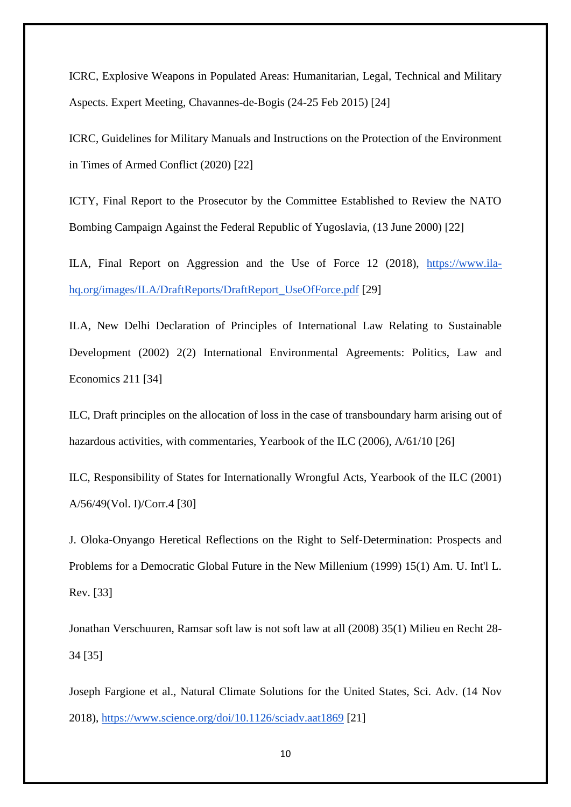ICRC, Explosive Weapons in Populated Areas: Humanitarian, Legal, Technical and Military Aspects. Expert Meeting, Chavannes-de-Bogis (24-25 Feb 2015) [24]

ICRC, Guidelines for Military Manuals and Instructions on the Protection of the Environment in Times of Armed Conflict (2020) [22]

ICTY, Final Report to the Prosecutor by the Committee Established to Review the NATO Bombing Campaign Against the Federal Republic of Yugoslavia, (13 June 2000) [22]

ILA, Final Report on Aggression and the Use of Force 12 (2018), [https://www.ila](https://www.ila-hq.org/images/ILA/DraftReports/DraftReport_UseOfForce.pdf)[hq.org/images/ILA/DraftReports/DraftReport\\_UseOfForce.pdf](https://www.ila-hq.org/images/ILA/DraftReports/DraftReport_UseOfForce.pdf) [29]

ILA, New Delhi Declaration of Principles of International Law Relating to Sustainable Development (2002) 2(2) International Environmental Agreements: Politics, Law and Economics 211 [34]

ILC, Draft principles on the allocation of loss in the case of transboundary harm arising out of hazardous activities, with commentaries, Yearbook of the ILC (2006), A/61/10 [26]

ILC, Responsibility of States for Internationally Wrongful Acts, Yearbook of the ILC (2001) A/56/49(Vol. I)/Corr.4 [30]

J. Oloka-Onyango Heretical Reflections on the Right to Self-Determination: Prospects and Problems for a Democratic Global Future in the New Millenium (1999) 15(1) Am. U. Int'l L. Rev. [33]

Jonathan Verschuuren, Ramsar soft law is not soft law at all (2008) 35(1) Milieu en Recht 28- 34 [35]

Joseph Fargione et al., Natural Climate Solutions for the United States, Sci. Adv. (14 Nov 2018),<https://www.science.org/doi/10.1126/sciadv.aat1869> [21]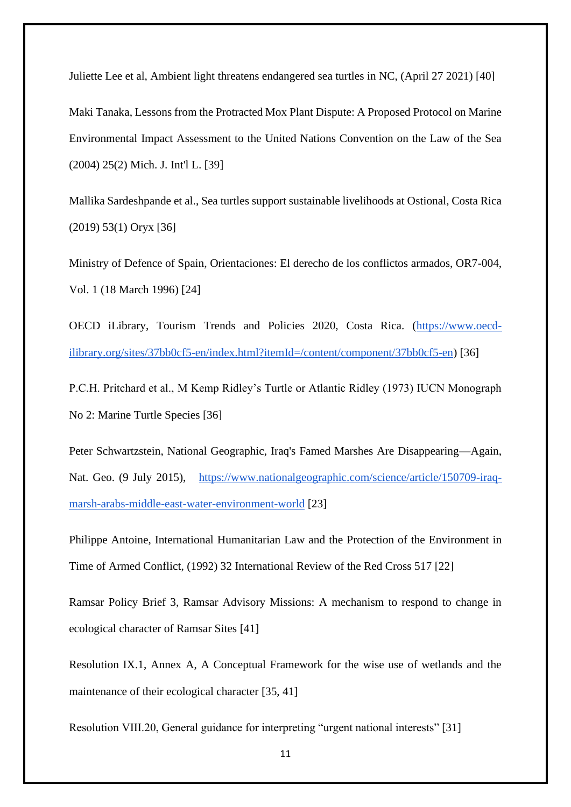Juliette Lee et al, Ambient light threatens endangered sea turtles in NC, (April 27 2021) [40] Maki Tanaka, Lessons from the Protracted Mox Plant Dispute: A Proposed Protocol on Marine Environmental Impact Assessment to the United Nations Convention on the Law of the Sea (2004) 25(2) Mich. J. Int'l L. [39]

Mallika Sardeshpande et al., Sea turtles support sustainable livelihoods at Ostional, Costa Rica (2019) 53(1) Oryx [36]

Ministry of Defence of Spain, Orientaciones: El derecho de los conflictos armados, OR7-004, Vol. 1 (18 March 1996) [24]

OECD iLibrary, Tourism Trends and Policies 2020, Costa Rica. [\(https://www.oecd](https://www.oecd-ilibrary.org/sites/37bb0cf5-en/index.html?itemId=/content/component/37bb0cf5-en)[ilibrary.org/sites/37bb0cf5-en/index.html?itemId=/content/component/37bb0cf5-en\)](https://www.oecd-ilibrary.org/sites/37bb0cf5-en/index.html?itemId=/content/component/37bb0cf5-en) [36]

P.C.H. Pritchard et al., M Kemp Ridley's Turtle or Atlantic Ridley (1973) IUCN Monograph No 2: Marine Turtle Species [36]

Peter Schwartzstein, National Geographic, Iraq's Famed Marshes Are Disappearing—Again, Nat. Geo. (9 July 2015), [https://www.nationalgeographic.com/science/article/150709-iraq](https://www.nationalgeographic.com/science/article/150709-iraq-marsh-arabs-middle-east-water-environment-world)[marsh-arabs-middle-east-water-environment-world](https://www.nationalgeographic.com/science/article/150709-iraq-marsh-arabs-middle-east-water-environment-world) [23]

Philippe Antoine, International Humanitarian Law and the Protection of the Environment in Time of Armed Conflict, (1992) 32 International Review of the Red Cross 517 [22]

Ramsar Policy Brief 3, Ramsar Advisory Missions: A mechanism to respond to change in ecological character of Ramsar Sites [41]

Resolution IX.1, Annex A, A Conceptual Framework for the wise use of wetlands and the maintenance of their ecological character [35, 41]

Resolution VIII.20, General guidance for interpreting "urgent national interests" [31]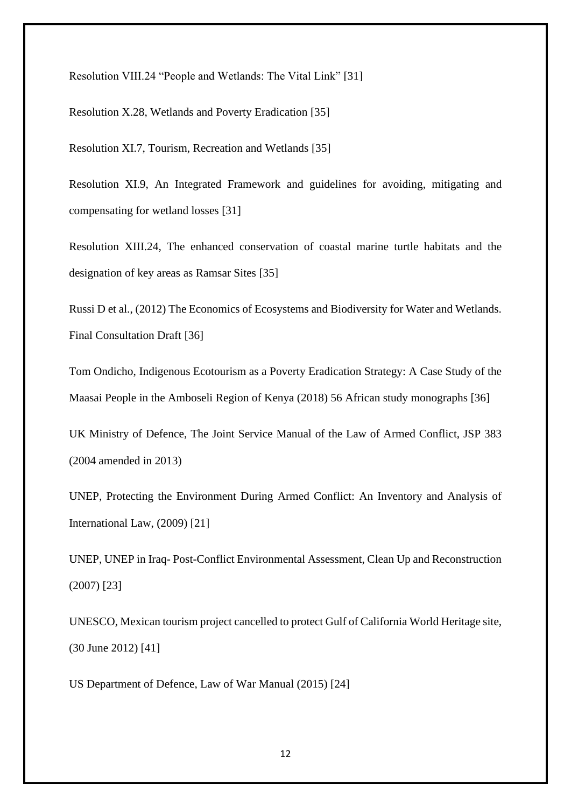Resolution VIII.24 "People and Wetlands: The Vital Link" [31]

Resolution X.28, Wetlands and Poverty Eradication [35]

Resolution XI.7, Tourism, Recreation and Wetlands [35]

Resolution XI.9, An Integrated Framework and guidelines for avoiding, mitigating and compensating for wetland losses [31]

Resolution XIII.24, The enhanced conservation of coastal marine turtle habitats and the designation of key areas as Ramsar Sites [35]

Russi D et al., (2012) The Economics of Ecosystems and Biodiversity for Water and Wetlands. Final Consultation Draft [36]

Tom Ondicho, Indigenous Ecotourism as a Poverty Eradication Strategy: A Case Study of the Maasai People in the Amboseli Region of Kenya (2018) 56 African study monographs [36]

UK Ministry of Defence, The Joint Service Manual of the Law of Armed Conflict, JSP 383 (2004 amended in 2013)

UNEP, Protecting the Environment During Armed Conflict: An Inventory and Analysis of International Law, (2009) [21]

UNEP, UNEP in Iraq- Post-Conflict Environmental Assessment, Clean Up and Reconstruction (2007) [23]

UNESCO, Mexican tourism project cancelled to protect Gulf of California World Heritage site, (30 June 2012) [41]

US Department of Defence, Law of War Manual (2015) [24]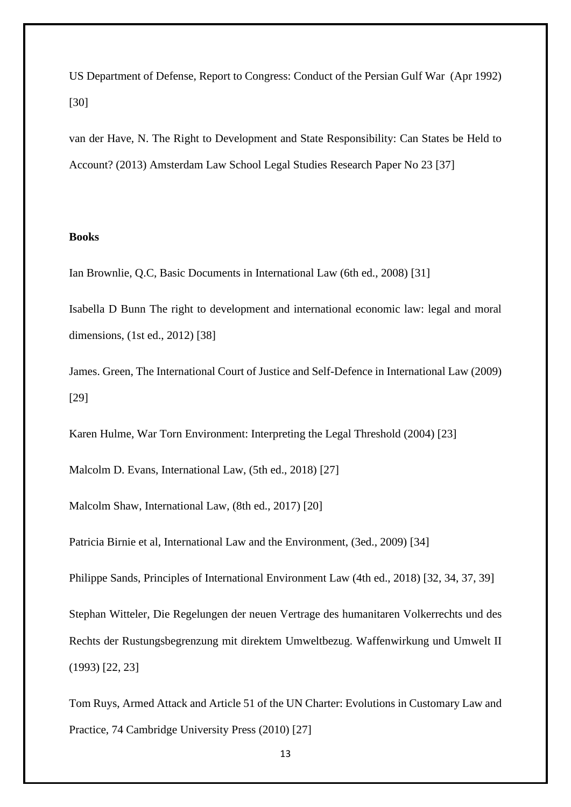US Department of Defense, Report to Congress: Conduct of the Persian Gulf War (Apr 1992) [30]

van der Have, N. The Right to Development and State Responsibility: Can States be Held to Account? (2013) Amsterdam Law School Legal Studies Research Paper No 23 [37]

### **Books**

Ian Brownlie, Q.C, Basic Documents in International Law (6th ed., 2008) [31]

Isabella D Bunn The right to development and international economic law: legal and moral dimensions, (1st ed., 2012) [38]

James. Green, The International Court of Justice and Self-Defence in International Law (2009) [29]

Karen Hulme, War Torn Environment: Interpreting the Legal Threshold (2004) [23]

Malcolm D. Evans, International Law, (5th ed., 2018) [27]

Malcolm Shaw, International Law, (8th ed., 2017) [20]

Patricia Birnie et al, International Law and the Environment, (3ed., 2009) [34]

Philippe Sands, Principles of International Environment Law (4th ed., 2018) [32, 34, 37, 39]

Stephan Witteler, Die Regelungen der neuen Vertrage des humanitaren Volkerrechts und des Rechts der Rustungsbegrenzung mit direktem Umweltbezug. Waffenwirkung und Umwelt II (1993) [22, 23]

Tom Ruys, Armed Attack and Article 51 of the UN Charter: Evolutions in Customary Law and Practice, 74 Cambridge University Press (2010) [27]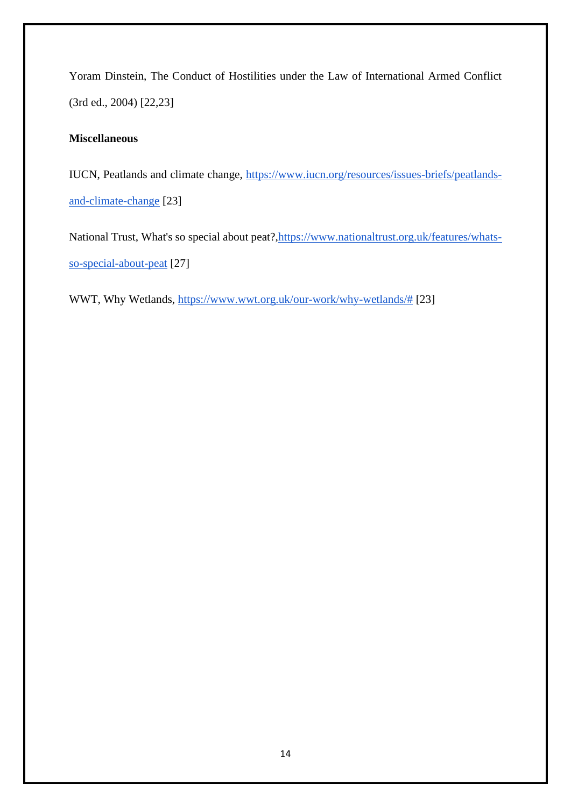Yoram Dinstein, The Conduct of Hostilities under the Law of International Armed Conflict (3rd ed., 2004) [22,23]

# **Miscellaneous**

IUCN, Peatlands and climate change, [https://www.iucn.org/resources/issues-briefs/peatlands](https://www.iucn.org/resources/issues-briefs/peatlands-and-climate-change)[and-climate-change](https://www.iucn.org/resources/issues-briefs/peatlands-and-climate-change) [23]

National Trust, What's so special about peat?, https://www.nationaltrust.org.uk/features/whats[so-special-about-peat](https://www.nationaltrust.org.uk/features/whats-so-special-about-peat) [27]

WWT, Why Wetlands, [https://www.wwt.org.uk/our-work/why-wetlands/#](https://www.wwt.org.uk/our-work/why-wetlands/) [23]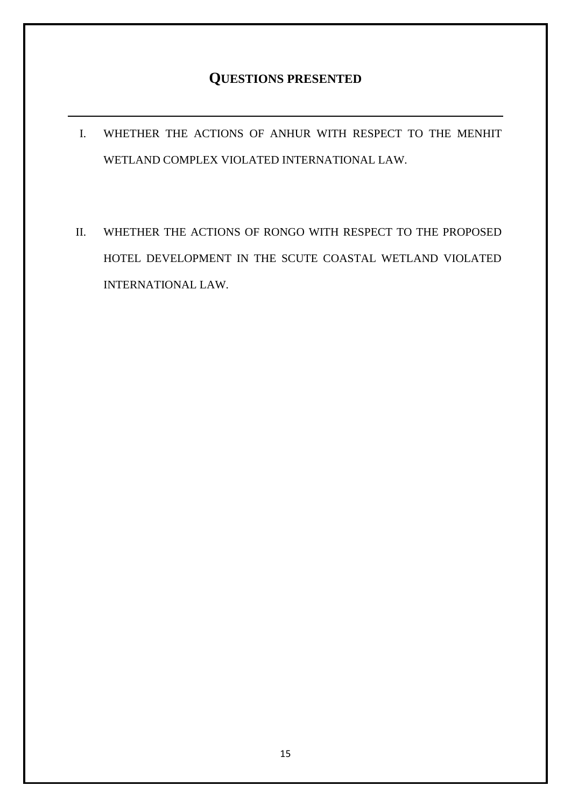# **QUESTIONS PRESENTED**

- I. WHETHER THE ACTIONS OF ANHUR WITH RESPECT TO THE MENHIT WETLAND COMPLEX VIOLATED INTERNATIONAL LAW.
- II. WHETHER THE ACTIONS OF RONGO WITH RESPECT TO THE PROPOSED HOTEL DEVELOPMENT IN THE SCUTE COASTAL WETLAND VIOLATED INTERNATIONAL LAW.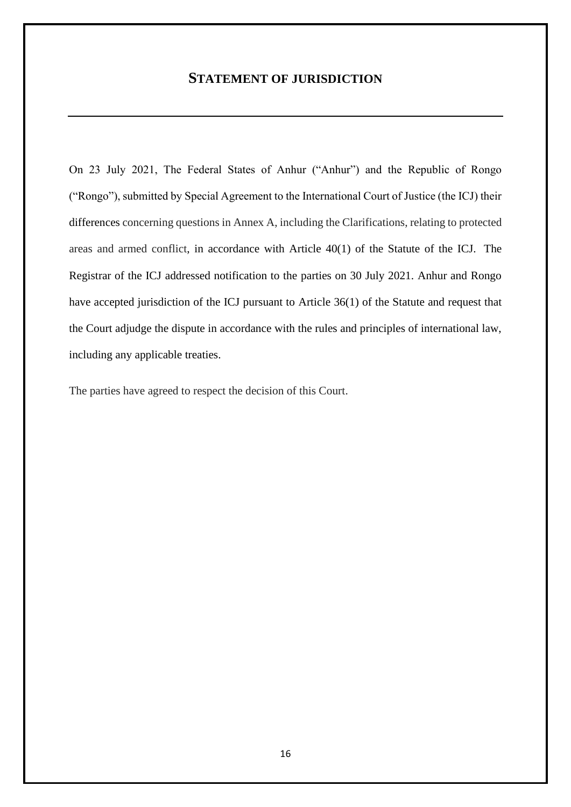# **STATEMENT OF JURISDICTION**

On 23 July 2021, The Federal States of Anhur ("Anhur") and the Republic of Rongo ("Rongo"), submitted by Special Agreement to the International Court of Justice (the ICJ) their differences concerning questions in Annex A, including the Clarifications, relating to protected areas and armed conflict, in accordance with Article 40(1) of the Statute of the ICJ. The Registrar of the ICJ addressed notification to the parties on 30 July 2021. Anhur and Rongo have accepted jurisdiction of the ICJ pursuant to Article 36(1) of the Statute and request that the Court adjudge the dispute in accordance with the rules and principles of international law, including any applicable treaties.

The parties have agreed to respect the decision of this Court.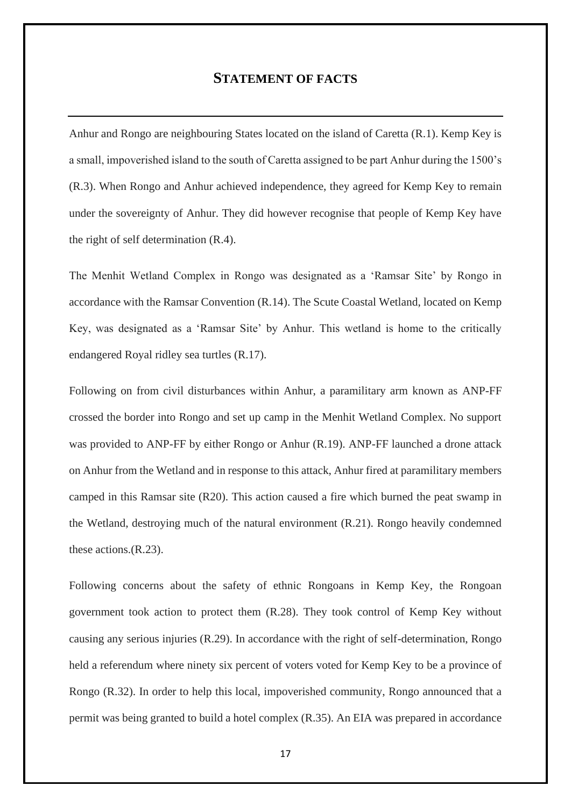# **STATEMENT OF FACTS**

Anhur and Rongo are neighbouring States located on the island of Caretta (R.1). Kemp Key is a small, impoverished island to the south of Caretta assigned to be part Anhur during the 1500's (R.3). When Rongo and Anhur achieved independence, they agreed for Kemp Key to remain under the sovereignty of Anhur. They did however recognise that people of Kemp Key have the right of self determination (R.4).

The Menhit Wetland Complex in Rongo was designated as a 'Ramsar Site' by Rongo in accordance with the Ramsar Convention (R.14). The Scute Coastal Wetland, located on Kemp Key, was designated as a 'Ramsar Site' by Anhur. This wetland is home to the critically endangered Royal ridley sea turtles (R.17).

Following on from civil disturbances within Anhur, a paramilitary arm known as ANP-FF crossed the border into Rongo and set up camp in the Menhit Wetland Complex. No support was provided to ANP-FF by either Rongo or Anhur (R.19). ANP-FF launched a drone attack on Anhur from the Wetland and in response to this attack, Anhur fired at paramilitary members camped in this Ramsar site (R20). This action caused a fire which burned the peat swamp in the Wetland, destroying much of the natural environment (R.21). Rongo heavily condemned these actions.(R.23).

Following concerns about the safety of ethnic Rongoans in Kemp Key, the Rongoan government took action to protect them (R.28). They took control of Kemp Key without causing any serious injuries (R.29). In accordance with the right of self-determination, Rongo held a referendum where ninety six percent of voters voted for Kemp Key to be a province of Rongo (R.32). In order to help this local, impoverished community, Rongo announced that a permit was being granted to build a hotel complex (R.35). An EIA was prepared in accordance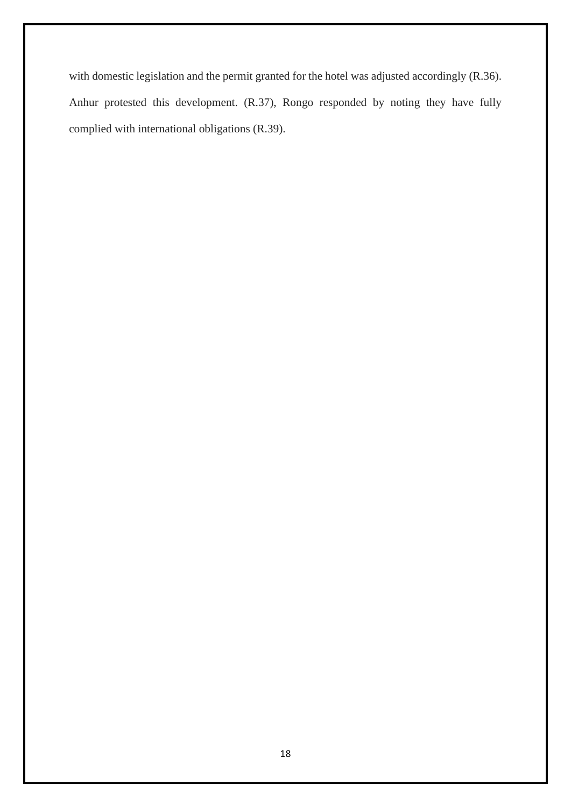with domestic legislation and the permit granted for the hotel was adjusted accordingly (R.36). Anhur protested this development. (R.37), Rongo responded by noting they have fully complied with international obligations (R.39).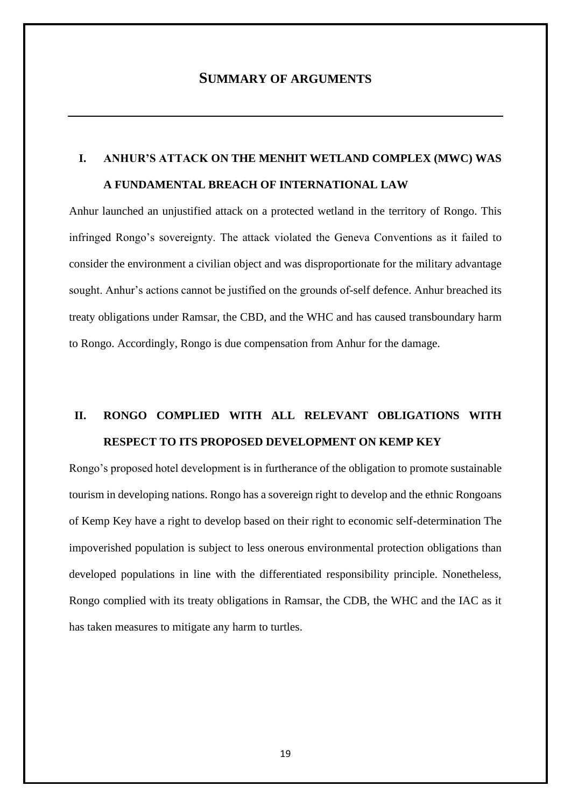### **SUMMARY OF ARGUMENTS**

# **I. ANHUR'S ATTACK ON THE MENHIT WETLAND COMPLEX (MWC) WAS A FUNDAMENTAL BREACH OF INTERNATIONAL LAW**

Anhur launched an unjustified attack on a protected wetland in the territory of Rongo. This infringed Rongo's sovereignty. The attack violated the Geneva Conventions as it failed to consider the environment a civilian object and was disproportionate for the military advantage sought. Anhur's actions cannot be justified on the grounds of-self defence. Anhur breached its treaty obligations under Ramsar, the CBD, and the WHC and has caused transboundary harm to Rongo. Accordingly, Rongo is due compensation from Anhur for the damage.

# **II. RONGO COMPLIED WITH ALL RELEVANT OBLIGATIONS WITH RESPECT TO ITS PROPOSED DEVELOPMENT ON KEMP KEY**

Rongo's proposed hotel development is in furtherance of the obligation to promote sustainable tourism in developing nations. Rongo has a sovereign right to develop and the ethnic Rongoans of Kemp Key have a right to develop based on their right to economic self-determination The impoverished population is subject to less onerous environmental protection obligations than developed populations in line with the differentiated responsibility principle. Nonetheless, Rongo complied with its treaty obligations in Ramsar, the CDB, the WHC and the IAC as it has taken measures to mitigate any harm to turtles.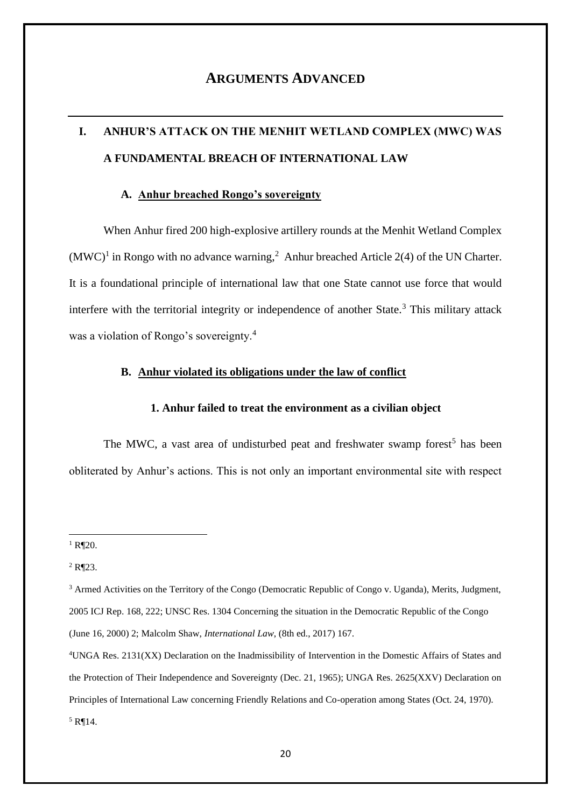# **ARGUMENTS ADVANCED**

# **I. ANHUR'S ATTACK ON THE MENHIT WETLAND COMPLEX (MWC) WAS A FUNDAMENTAL BREACH OF INTERNATIONAL LAW**

### **A. Anhur breached Rongo's sovereignty**

When Anhur fired 200 high-explosive artillery rounds at the Menhit Wetland Complex  $(MWC)^1$  in Rongo with no advance warning,<sup>2</sup> Anhur breached Article 2(4) of the UN Charter. It is a foundational principle of international law that one State cannot use force that would interfere with the territorial integrity or independence of another State.<sup>3</sup> This military attack was a violation of Rongo's sovereignty.<sup>4</sup>

#### **B. Anhur violated its obligations under the law of conflict**

#### **1. Anhur failed to treat the environment as a civilian object**

The MWC, a vast area of undisturbed peat and freshwater swamp forest<sup>5</sup> has been obliterated by Anhur's actions. This is not only an important environmental site with respect

 $1$  R¶20.

<sup>2</sup> R¶23.

<sup>&</sup>lt;sup>3</sup> Armed Activities on the Territory of the Congo (Democratic Republic of Congo v. Uganda), Merits, Judgment, 2005 ICJ Rep. 168, 222; UNSC Res. 1304 Concerning the situation in the Democratic Republic of the Congo (June 16, 2000) 2; Malcolm Shaw, *International Law*, (8th ed., 2017) 167.

<sup>4</sup>UNGA Res. 2131(XX) Declaration on the Inadmissibility of Intervention in the Domestic Affairs of States and the Protection of Their Independence and Sovereignty (Dec. 21, 1965); UNGA Res. 2625(XXV) Declaration on Principles of International Law concerning Friendly Relations and Co-operation among States (Oct. 24, 1970).  $5$  R¶14.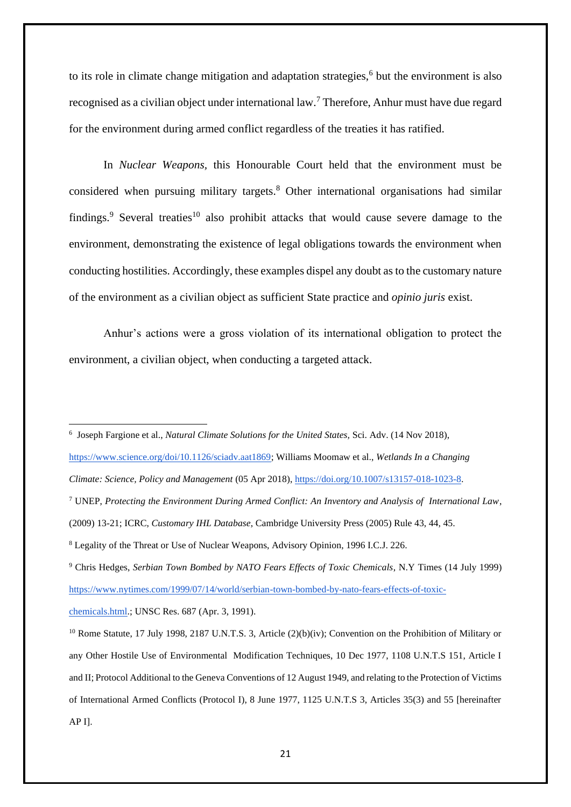to its role in climate change mitigation and adaptation strategies,<sup>6</sup> but the environment is also recognised as a civilian object under international law.<sup>7</sup> Therefore, Anhur must have due regard for the environment during armed conflict regardless of the treaties it has ratified.

In *Nuclear Weapons,* this Honourable Court held that the environment must be considered when pursuing military targets.<sup>8</sup> Other international organisations had similar findings.<sup>9</sup> Several treaties<sup>10</sup> also prohibit attacks that would cause severe damage to the environment, demonstrating the existence of legal obligations towards the environment when conducting hostilities. Accordingly, these examples dispel any doubt as to the customary nature of the environment as a civilian object as sufficient State practice and *opinio juris* exist.

Anhur's actions were a gross violation of its international obligation to protect the environment, a civilian object, when conducting a targeted attack.

6 Joseph Fargione et al., *Natural Climate Solutions for the United States,* Sci. Adv. (14 Nov 2018),

[https://www.science.org/doi/10.1126/sciadv.aat1869;](https://www.science.org/doi/10.1126/sciadv.aat1869) Williams Moomaw et al., *Wetlands In a Changing* 

<sup>7</sup> UNEP, *Protecting the Environment During Armed Conflict: An Inventory and Analysis of International Law*,

<sup>9</sup> Chris Hedges, *Serbian Town Bombed by NATO Fears Effects of Toxic Chemicals*, N.Y Times (14 July 1999) [https://www.nytimes.com/1999/07/14/world/serbian-town-bombed-by-nato-fears-effects-of-toxic-](https://www.nytimes.com/1999/07/14/world/serbian-town-bombed-by-nato-fears-effects-of-toxic-chemicals.html)

[chemicals.html.](https://www.nytimes.com/1999/07/14/world/serbian-town-bombed-by-nato-fears-effects-of-toxic-chemicals.html); UNSC Res. 687 (Apr. 3, 1991).

*Climate: Science, Policy and Management* (05 Apr 2018)[, https://doi.org/10.1007/s13157-018-1023-8.](https://doi.org/10.1007/s13157-018-1023-8)

<sup>(2009) 13-21;</sup> ICRC, *Customary IHL Database*, Cambridge University Press (2005) Rule 43, 44, 45.

<sup>8</sup> Legality of the Threat or Use of Nuclear Weapons, Advisory Opinion, 1996 I.C.J. 226.

<sup>&</sup>lt;sup>10</sup> Rome Statute, 17 July 1998, 2187 U.N.T.S. 3, Article (2)(b)(iv); Convention on the Prohibition of Military or any Other Hostile Use of Environmental Modification Techniques, 10 Dec 1977, 1108 U.N.T.S 151, Article I and II; Protocol Additional to the Geneva Conventions of 12 August 1949, and relating to the Protection of Victims of International Armed Conflicts (Protocol I), 8 June 1977, 1125 U.N.T.S 3, Articles 35(3) and 55 [hereinafter AP I].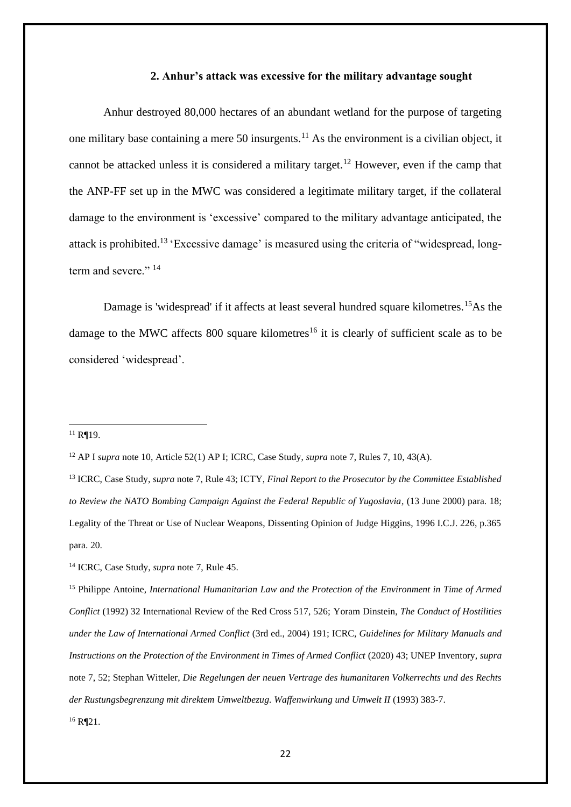#### **2. Anhur's attack was excessive for the military advantage sought**

Anhur destroyed 80,000 hectares of an abundant wetland for the purpose of targeting one military base containing a mere 50 insurgents.<sup>11</sup> As the environment is a civilian object, it cannot be attacked unless it is considered a military target.<sup>12</sup> However, even if the camp that the ANP-FF set up in the MWC was considered a legitimate military target, if the collateral damage to the environment is 'excessive' compared to the military advantage anticipated, the attack is prohibited.<sup>13</sup> 'Excessive damage' is measured using the criteria of "widespread, longterm and severe."<sup>14</sup>

Damage is 'widespread' if it affects at least several hundred square kilometres.<sup>15</sup>As the damage to the MWC affects  $800$  square kilometres<sup>16</sup> it is clearly of sufficient scale as to be considered 'widespread'.

#### $11$  R¶19.

<sup>14</sup> ICRC, Case Study, *supra* note 7, Rule 45.

<sup>15</sup> Philippe Antoine, *International Humanitarian Law and the Protection of the Environment in Time of Armed Conflict* (1992) 32 International Review of the Red Cross 517, 526; Yoram Dinstein, *The Conduct of Hostilities under the Law of International Armed Conflict* (3rd ed., 2004) 191; ICRC, *Guidelines for Military Manuals and Instructions on the Protection of the Environment in Times of Armed Conflict* (2020) 43; UNEP Inventory, *supra*  note 7, 52; Stephan Witteler, *Die Regelungen der neuen Vertrage des humanitaren Volkerrechts und des Rechts der Rustungsbegrenzung mit direktem Umweltbezug. Waffenwirkung und Umwelt II* (1993) 383-7.  $16$  R¶21.

<sup>12</sup> AP I *supra* note 10, Article 52(1) AP I; ICRC, Case Study, *supra* note 7, Rules 7, 10, 43(A).

<sup>13</sup> ICRC, Case Study, *supra* note 7, Rule 43; ICTY, *Final Report to the Prosecutor by the Committee Established to Review the NATO Bombing Campaign Against the Federal Republic of Yugoslavia*, (13 June 2000) para. 18; Legality of the Threat or Use of Nuclear Weapons, Dissenting Opinion of Judge Higgins, 1996 I.C.J. 226, p.365 para. 20.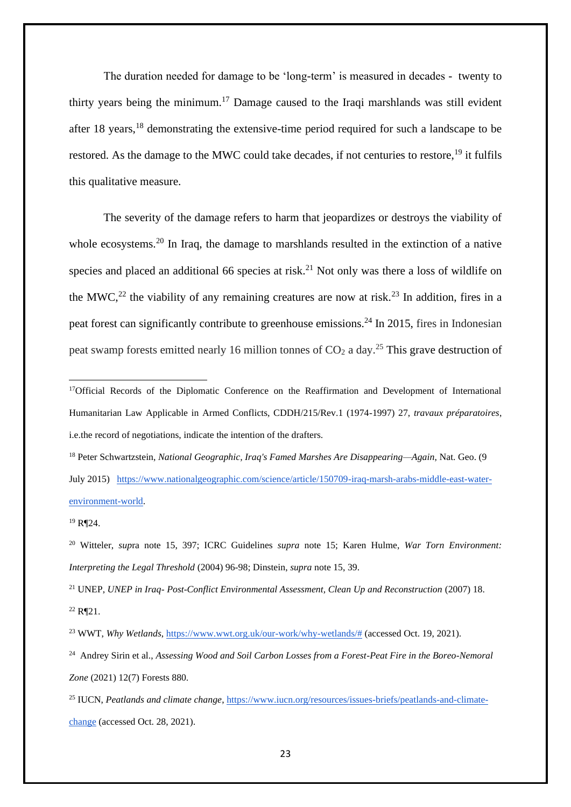The duration needed for damage to be 'long-term' is measured in decades - twenty to thirty years being the minimum.<sup>17</sup> Damage caused to the Iraqi marshlands was still evident after 18 years, <sup>18</sup> demonstrating the extensive-time period required for such a landscape to be restored. As the damage to the MWC could take decades, if not centuries to restore, <sup>19</sup> it fulfils this qualitative measure.

The severity of the damage refers to harm that jeopardizes or destroys the viability of whole ecosystems.<sup>20</sup> In Iraq, the damage to marshlands resulted in the extinction of a native species and placed an additional 66 species at risk.<sup>21</sup> Not only was there a loss of wildlife on the MWC,<sup>22</sup> the viability of any remaining creatures are now at risk.<sup>23</sup> In addition, fires in a peat forest can significantly contribute to greenhouse emissions.<sup>24</sup> In 2015, fires in Indonesian peat swamp forests emitted nearly 16 million tonnes of  $CO<sub>2</sub>$  a day.<sup>25</sup> This grave destruction of

<sup>&</sup>lt;sup>17</sup>Official Records of the Diplomatic Conference on the Reaffirmation and Development of International Humanitarian Law Applicable in Armed Conflicts, CDDH/215/Rev.1 (1974-1997) 27, *travaux préparatoires*, i.e.the record of negotiations, indicate the intention of the drafters.

<sup>18</sup> Peter Schwartzstein, *National Geographic, Iraq's Famed Marshes Are Disappearing—Again*, Nat. Geo. (9 July 2015) [https://www.nationalgeographic.com/science/article/150709-iraq-marsh-arabs-middle-east-water](https://www.nationalgeographic.com/science/article/150709-iraq-marsh-arabs-middle-east-water-environment-world)[environment-world.](https://www.nationalgeographic.com/science/article/150709-iraq-marsh-arabs-middle-east-water-environment-world)

<sup>19</sup> R¶24.

<sup>20</sup> Witteler, *sup*ra note 15, 397; ICRC Guidelines *supra* note 15; Karen Hulme, *War Torn Environment: Interpreting the Legal Threshold* (2004) 96-98; Dinstein, *supra* note 15, 39.

<sup>21</sup> UNEP, *UNEP in Iraq- Post-Conflict Environmental Assessment, Clean Up and Reconstruction* (2007) 18.  $^{22}$  R¶21.

<sup>23</sup> WWT, *Why Wetlands*, [https://www.wwt.org.uk/our-work/why-wetlands/#](https://www.wwt.org.uk/our-work/why-wetlands/) (accessed Oct. 19, 2021).

<sup>24</sup> Andrey Sirin et al., *Assessing Wood and Soil Carbon Losses from a Forest-Peat Fire in the Boreo-Nemoral Zone* (2021) 12(7) Forests 880.

<sup>25</sup> IUCN, *Peatlands and climate change*, [https://www.iucn.org/resources/issues-briefs/peatlands-and-climate](https://www.iucn.org/resources/issues-briefs/peatlands-and-climate-change)[change](https://www.iucn.org/resources/issues-briefs/peatlands-and-climate-change) (accessed Oct. 28, 2021).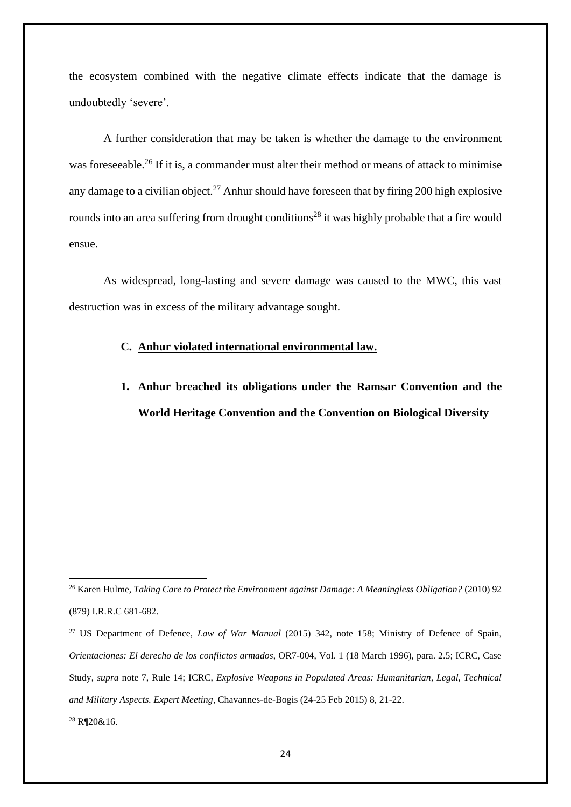the ecosystem combined with the negative climate effects indicate that the damage is undoubtedly 'severe'.

A further consideration that may be taken is whether the damage to the environment was foreseeable.<sup>26</sup> If it is, a commander must alter their method or means of attack to minimise any damage to a civilian object.<sup>27</sup> Anhur should have foreseen that by firing 200 high explosive rounds into an area suffering from drought conditions<sup>28</sup> it was highly probable that a fire would ensue.

As widespread, long-lasting and severe damage was caused to the MWC, this vast destruction was in excess of the military advantage sought.

### **C. Anhur violated international environmental law.**

**1. Anhur breached its obligations under the Ramsar Convention and the World Heritage Convention and the Convention on Biological Diversity** 

 $28$  R¶20&16.

<sup>26</sup> Karen Hulme, *Taking Care to Protect the Environment against Damage: A Meaningless Obligation?* (2010) 92 (879) I.R.R.C 681-682.

<sup>27</sup> US Department of Defence, *Law of War Manual* (2015) 342, note 158; Ministry of Defence of Spain, *Orientaciones: El derecho de los conflictos armados*, OR7-004, Vol. 1 (18 March 1996), para. 2.5; ICRC, Case Study, *supra* note 7, Rule 14; ICRC, *Explosive Weapons in Populated Areas: Humanitarian, Legal, Technical and Military Aspects. Expert Meeting*, Chavannes-de-Bogis (24-25 Feb 2015) 8, 21-22.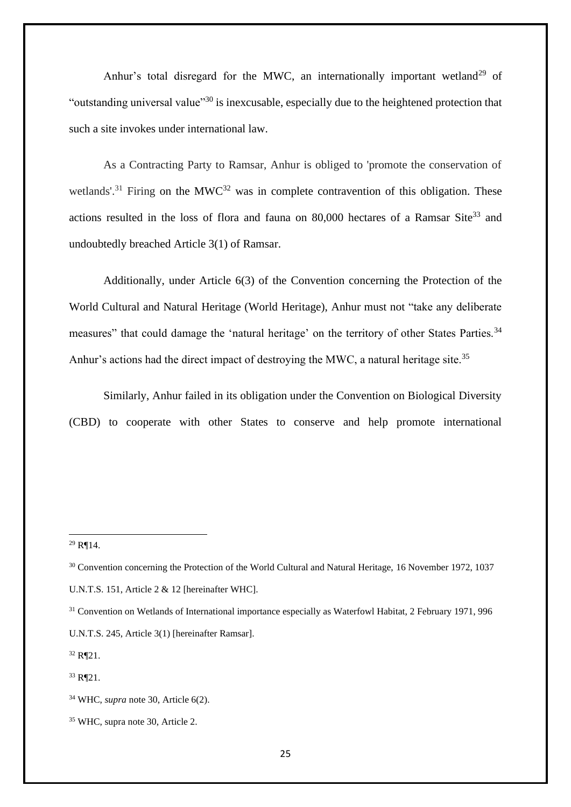Anhur's total disregard for the MWC, an internationally important wetland<sup>29</sup> of "outstanding universal value"<sup>30</sup> is inexcusable, especially due to the heightened protection that such a site invokes under international law.

As a Contracting Party to Ramsar, Anhur is obliged to 'promote the conservation of wetlands'.<sup>31</sup> Firing on the MWC<sup>32</sup> was in complete contravention of this obligation. These actions resulted in the loss of flora and fauna on  $80,000$  hectares of a Ramsar Site<sup>33</sup> and undoubtedly breached Article 3(1) of Ramsar.

Additionally, under Article 6(3) of the Convention concerning the Protection of the World Cultural and Natural Heritage (World Heritage), Anhur must not "take any deliberate measures" that could damage the 'natural heritage' on the territory of other States Parties.<sup>34</sup> Anhur's actions had the direct impact of destroying the MWC, a natural heritage site.<sup>35</sup>

Similarly, Anhur failed in its obligation under the Convention on Biological Diversity (CBD) to cooperate with other States to conserve and help promote international

 $32$  R¶21.

<sup>29</sup> R¶14.

<sup>&</sup>lt;sup>30</sup> Convention concerning the Protection of the World Cultural and Natural Heritage, 16 November 1972, 1037 U.N.T.S. 151, Article 2 & 12 [hereinafter WHC].

<sup>31</sup> Convention on Wetlands of International importance especially as Waterfowl Habitat, 2 February 1971, 996 U.N.T.S. 245, Article 3(1) [hereinafter Ramsar].

<sup>33</sup> R¶21.

<sup>34</sup> WHC, *supra* note 30, Article 6(2).

<sup>35</sup> WHC, supra note 30, Article 2.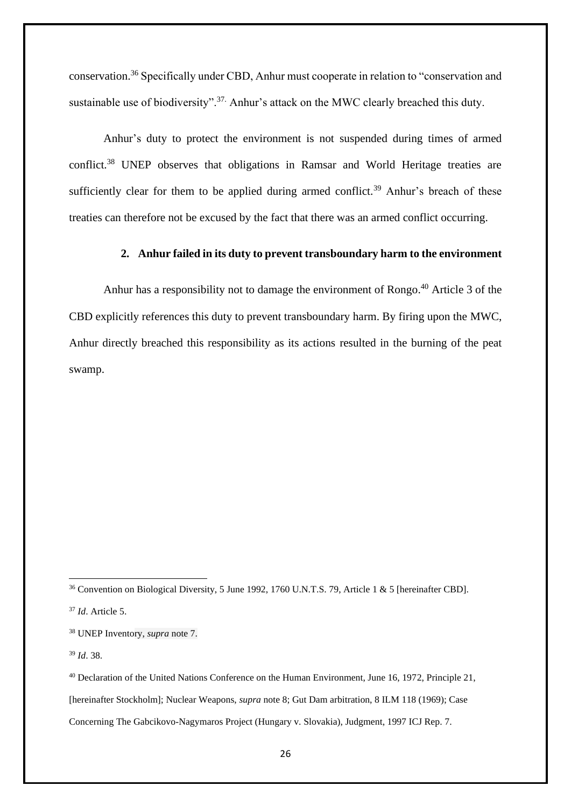conservation.<sup>36</sup> Specifically under CBD, Anhur must cooperate in relation to "conservation and sustainable use of biodiversity".<sup>37</sup>. Anhur's attack on the MWC clearly breached this duty.

Anhur's duty to protect the environment is not suspended during times of armed conflict.<sup>38</sup> UNEP observes that obligations in Ramsar and World Heritage treaties are sufficiently clear for them to be applied during armed conflict.<sup>39</sup> Anhur's breach of these treaties can therefore not be excused by the fact that there was an armed conflict occurring.

### **2. Anhur failed in its duty to prevent transboundary harm to the environment**

Anhur has a responsibility not to damage the environment of Rongo. <sup>40</sup> Article 3 of the CBD explicitly references this duty to prevent transboundary harm. By firing upon the MWC, Anhur directly breached this responsibility as its actions resulted in the burning of the peat swamp.

<sup>36</sup> Convention on Biological Diversity, 5 June 1992, 1760 U.N.T.S. 79, Article 1 & 5 [hereinafter CBD].

<sup>37</sup> *Id*. Article 5.

<sup>39</sup> *Id*. 38.

<sup>38</sup> UNEP Inventory, *supra* note 7.

<sup>40</sup> Declaration of the United Nations Conference on the Human Environment, June 16, 1972, Principle 21, [hereinafter Stockholm]; Nuclear Weapons, *supra* note 8; Gut Dam arbitration, 8 ILM 118 (1969); Case Concerning The Gabcikovo-Nagymaros Project (Hungary v. Slovakia), Judgment, 1997 ICJ Rep. 7.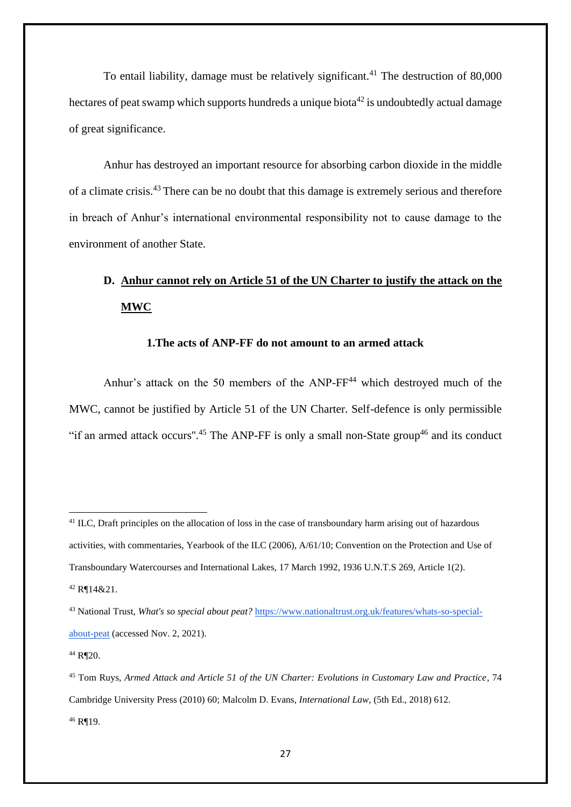To entail liability, damage must be relatively significant.<sup>41</sup> The destruction of  $80,000$ hectares of peat swamp which supports hundreds a unique biota<sup>42</sup> is undoubtedly actual damage of great significance.

Anhur has destroyed an important resource for absorbing carbon dioxide in the middle of a climate crisis.<sup>43</sup> There can be no doubt that this damage is extremely serious and therefore in breach of Anhur's international environmental responsibility not to cause damage to the environment of another State.

# **D. Anhur cannot rely on Article 51 of the UN Charter to justify the attack on the MWC**

### **1.The acts of ANP-FF do not amount to an armed attack**

Anhur's attack on the 50 members of the ANP-FF<sup>44</sup> which destroyed much of the MWC, cannot be justified by Article 51 of the UN Charter. Self-defence is only permissible "if an armed attack occurs".<sup>45</sup> The ANP-FF is only a small non-State group<sup>46</sup> and its conduct

<sup>&</sup>lt;sup>41</sup> ILC, Draft principles on the allocation of loss in the case of transboundary harm arising out of hazardous activities, with commentaries, Yearbook of the ILC (2006), A/61/10; Convention on the Protection and Use of Transboundary Watercourses and International Lakes, 17 March 1992, 1936 U.N.T.S 269, Article 1(2). <sup>42</sup> R¶14&21.

<sup>43</sup> National Trust, *What's so special about peat?* [https://www.nationaltrust.org.uk/features/whats-so-special](https://www.nationaltrust.org.uk/features/whats-so-special-about-peat)[about-peat](https://www.nationaltrust.org.uk/features/whats-so-special-about-peat) (accessed Nov. 2, 2021).

<sup>44</sup> R¶20.

<sup>45</sup> Tom Ruys, *Armed Attack and Article 51 of the UN Charter: Evolutions in Customary Law and Practice*, 74 Cambridge University Press (2010) 60; Malcolm D. Evans, *International Law*, (5th Ed., 2018) 612. <sup>46</sup> R¶19.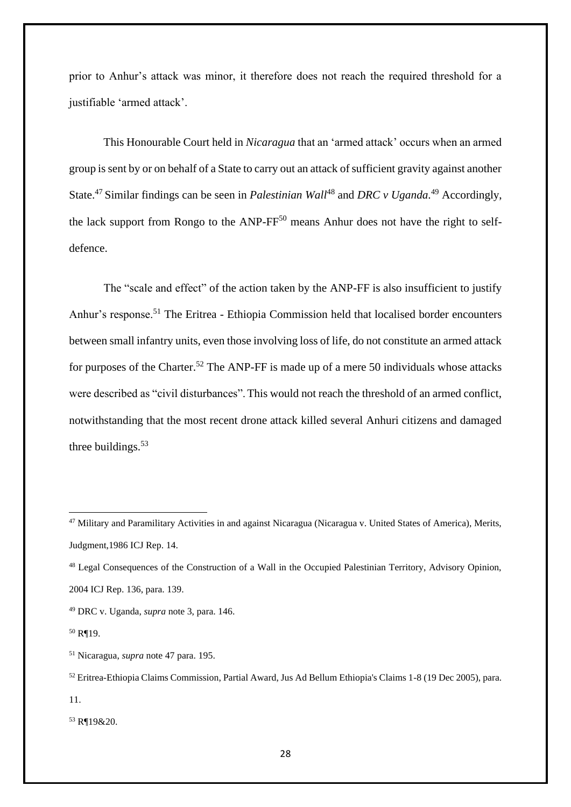prior to Anhur's attack was minor, it therefore does not reach the required threshold for a justifiable 'armed attack'.

This Honourable Court held in *Nicaragua* that an 'armed attack' occurs when an armed group is sent by or on behalf of a State to carry out an attack of sufficient gravity against another State.<sup>47</sup> Similar findings can be seen in *Palestinian Wall*<sup>48</sup> and *DRC v Uganda.*<sup>49</sup> Accordingly, the lack support from Rongo to the ANP-FF<sup>50</sup> means Anhur does not have the right to selfdefence.

The "scale and effect" of the action taken by the ANP-FF is also insufficient to justify Anhur's response.<sup>51</sup> The Eritrea - Ethiopia Commission held that localised border encounters between small infantry units, even those involving loss of life, do not constitute an armed attack for purposes of the Charter.<sup>52</sup> The ANP-FF is made up of a mere 50 individuals whose attacks were described as "civil disturbances".This would not reach the threshold of an armed conflict, notwithstanding that the most recent drone attack killed several Anhuri citizens and damaged three buildings. $53$ 

<sup>53</sup> R¶19&20.

<sup>&</sup>lt;sup>47</sup> Military and Paramilitary Activities in and against Nicaragua (Nicaragua v. United States of America), Merits, Judgment,1986 ICJ Rep. 14.

<sup>48</sup> Legal Consequences of the Construction of a Wall in the Occupied Palestinian Territory, Advisory Opinion, 2004 ICJ Rep. 136, para. 139.

<sup>49</sup> DRC v. Uganda, *supra* note 3, para. 146.

<sup>50</sup> R¶19.

<sup>51</sup> Nicaragua, *supra* note 47 para. 195.

<sup>52</sup> Eritrea-Ethiopia Claims Commission, Partial Award, Jus Ad Bellum Ethiopia's Claims 1-8 (19 Dec 2005), para. 11.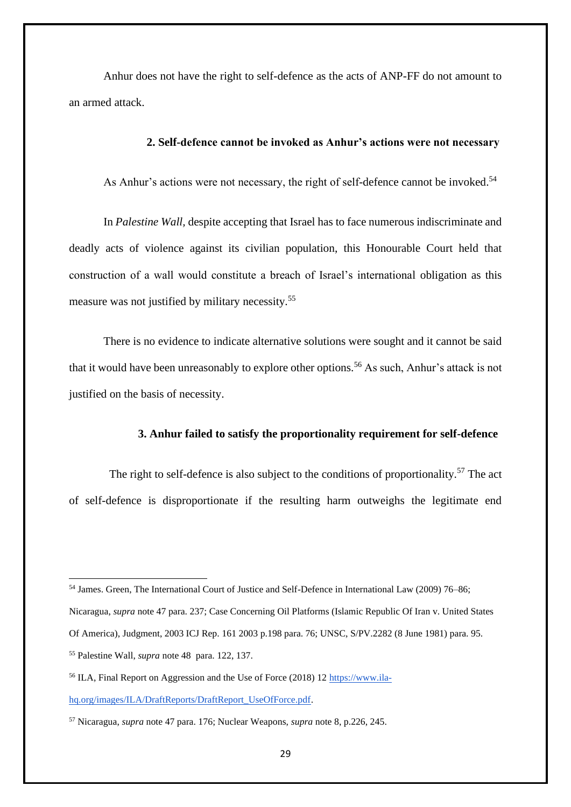Anhur does not have the right to self-defence as the acts of ANP-FF do not amount to an armed attack.

### **2. Self-defence cannot be invoked as Anhur's actions were not necessary**

As Anhur's actions were not necessary, the right of self-defence cannot be invoked.<sup>54</sup>

In *Palestine Wall,* despite accepting that Israel has to face numerous indiscriminate and deadly acts of violence against its civilian population, this Honourable Court held that construction of a wall would constitute a breach of Israel's international obligation as this measure was not justified by military necessity.<sup>55</sup>

There is no evidence to indicate alternative solutions were sought and it cannot be said that it would have been unreasonably to explore other options.<sup>56</sup> As such, Anhur's attack is not justified on the basis of necessity.

#### **3. Anhur failed to satisfy the proportionality requirement for self-defence**

The right to self-defence is also subject to the conditions of proportionality.<sup>57</sup> The act of self-defence is disproportionate if the resulting harm outweighs the legitimate end

<sup>54</sup> James. Green, The International Court of Justice and Self-Defence in International Law (2009) 76–86;

Nicaragua, *supra* note 47 para. 237; Case Concerning Oil Platforms (Islamic Republic Of Iran v. United States

Of America), Judgment, 2003 ICJ Rep. 161 2003 p.198 para. 76; UNSC, S/PV.2282 (8 June 1981) para. 95.

<sup>55</sup> Palestine Wall, *supra* note 48 para. 122, 137.

<sup>56</sup> ILA, Final Report on Aggression and the Use of Force (2018) 12 [https://www.ila](https://www.ila-hq.org/images/ILA/DraftReports/DraftReport_UseOfForce.pdf)[hq.org/images/ILA/DraftReports/DraftReport\\_UseOfForce.pdf.](https://www.ila-hq.org/images/ILA/DraftReports/DraftReport_UseOfForce.pdf)

<sup>57</sup> Nicaragua, *supra* note 47 para. 176; Nuclear Weapons, *supra* note 8, p.226, 245.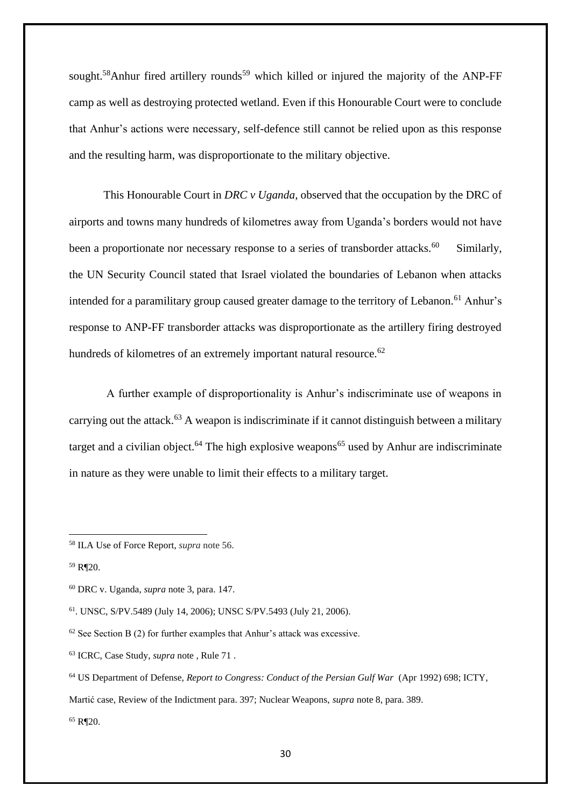sought.<sup>58</sup>Anhur fired artillery rounds<sup>59</sup> which killed or injured the majority of the ANP-FF camp as well as destroying protected wetland. Even if this Honourable Court were to conclude that Anhur's actions were necessary, self-defence still cannot be relied upon as this response and the resulting harm, was disproportionate to the military objective.

This Honourable Court in *DRC v Uganda,* observed that the occupation by the DRC of airports and towns many hundreds of kilometres away from Uganda's borders would not have been a proportionate nor necessary response to a series of transborder attacks.<sup>60</sup> Similarly, the UN Security Council stated that Israel violated the boundaries of Lebanon when attacks intended for a paramilitary group caused greater damage to the territory of Lebanon.<sup>61</sup> Anhur's response to ANP-FF transborder attacks was disproportionate as the artillery firing destroyed hundreds of kilometres of an extremely important natural resource.<sup>62</sup>

A further example of disproportionality is Anhur's indiscriminate use of weapons in carrying out the attack.<sup>63</sup> A weapon is indiscriminate if it cannot distinguish between a military target and a civilian object.<sup>64</sup> The high explosive weapons<sup>65</sup> used by Anhur are indiscriminate in nature as they were unable to limit their effects to a military target.

Martić case, Review of the Indictment para. 397; Nuclear Weapons, *supra* note 8, para. 389.

 $65$  R¶20.

<sup>58</sup> ILA Use of Force Report, *supra* note 56.

<sup>59</sup> R¶20.

<sup>60</sup> DRC v. Uganda, *supra* note 3, para. 147.

<sup>61</sup>. UNSC, S/PV.5489 (July 14, 2006); UNSC S/PV.5493 (July 21, 2006).

 $62$  See Section B (2) for further examples that Anhur's attack was excessive.

<sup>63</sup> ICRC, Case Study, *supra* note , Rule 71 .

<sup>64</sup> US Department of Defense, *Report to Congress: Conduct of the Persian Gulf War* (Apr 1992) 698; ICTY,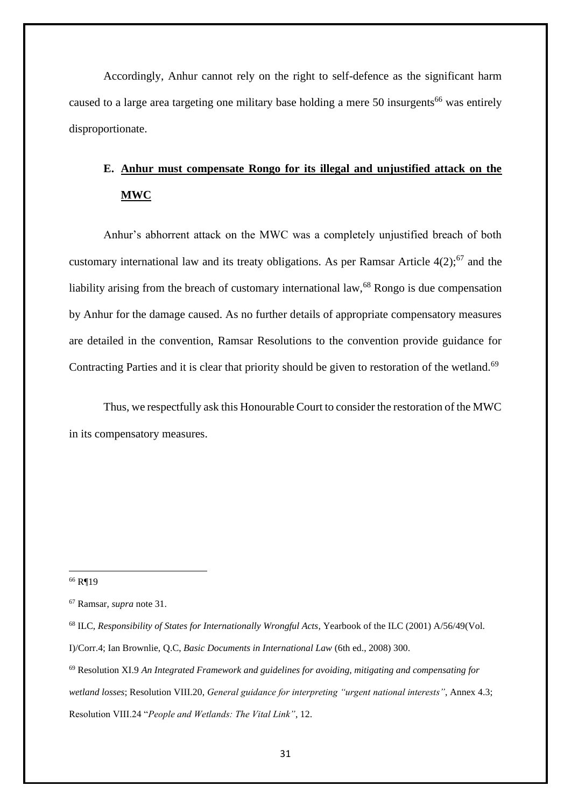Accordingly, Anhur cannot rely on the right to self-defence as the significant harm caused to a large area targeting one military base holding a mere 50 insurgents<sup>66</sup> was entirely disproportionate.

# **E. Anhur must compensate Rongo for its illegal and unjustified attack on the MWC**

Anhur's abhorrent attack on the MWC was a completely unjustified breach of both customary international law and its treaty obligations. As per Ramsar Article  $4(2)$ ;<sup>67</sup> and the liability arising from the breach of customary international law,<sup>68</sup> Rongo is due compensation by Anhur for the damage caused. As no further details of appropriate compensatory measures are detailed in the convention, Ramsar Resolutions to the convention provide guidance for Contracting Parties and it is clear that priority should be given to restoration of the wetland.<sup>69</sup>

Thus, we respectfully ask this Honourable Court to consider the restoration of the MWC in its compensatory measures.

<sup>66</sup> R¶19

<sup>67</sup> Ramsar, *supra* note 31.

<sup>68</sup> ILC, *Responsibility of States for Internationally Wrongful Acts*, Yearbook of the ILC (2001) A/56/49(Vol. I)/Corr.4; Ian Brownlie, Q.C, *Basic Documents in International Law* (6th ed., 2008) 300.

<sup>69</sup> Resolution XI.9 *An Integrated Framework and guidelines for avoiding, mitigating and compensating for wetland losses*; Resolution VIII.20, *General guidance for interpreting "urgent national interests"*, Annex 4.3; Resolution VIII.24 "*People and Wetlands: The Vital Link"*, 12.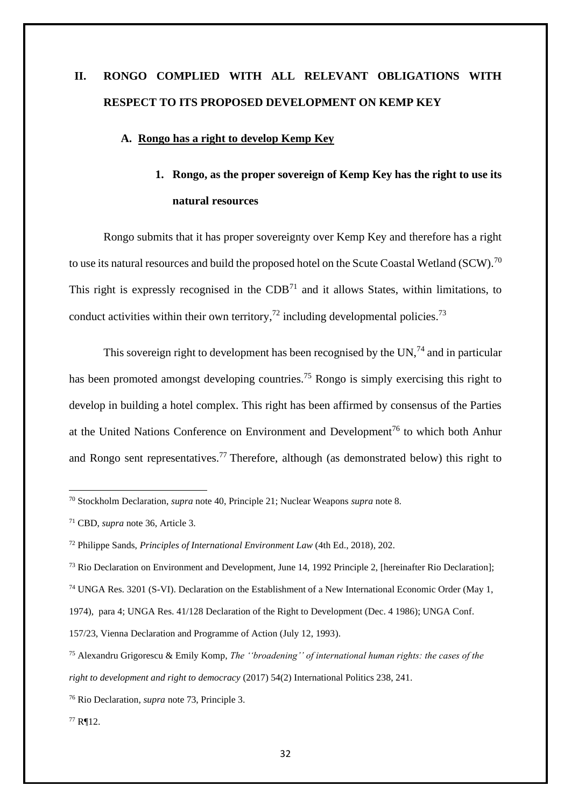# **II. RONGO COMPLIED WITH ALL RELEVANT OBLIGATIONS WITH RESPECT TO ITS PROPOSED DEVELOPMENT ON KEMP KEY**

#### **A. Rongo has a right to develop Kemp Key**

# **1. Rongo, as the proper sovereign of Kemp Key has the right to use its natural resources**

Rongo submits that it has proper sovereignty over Kemp Key and therefore has a right to use its natural resources and build the proposed hotel on the Scute Coastal Wetland (SCW).<sup>70</sup> This right is expressly recognised in the  $CDB<sup>71</sup>$  and it allows States, within limitations, to conduct activities within their own territory,<sup>72</sup> including developmental policies.<sup>73</sup>

This sovereign right to development has been recognised by the UN,  $^{74}$  and in particular has been promoted amongst developing countries.<sup>75</sup> Rongo is simply exercising this right to develop in building a hotel complex. This right has been affirmed by consensus of the Parties at the United Nations Conference on Environment and Development<sup>76</sup> to which both Anhur and Rongo sent representatives.<sup>77</sup> Therefore, although (as demonstrated below) this right to

<sup>70</sup> Stockholm Declaration, *supra* note 40, Principle 21; Nuclear Weapons *supra* note 8.

<sup>71</sup> CBD, *supra* note 36, Article 3.

<sup>72</sup> Philippe Sands, *Principles of International Environment Law* (4th Ed., 2018), 202.

<sup>73</sup> Rio Declaration on Environment and Development, June 14, 1992 Principle 2, [hereinafter Rio Declaration];

<sup>74</sup> UNGA Res. 3201 (S-VI). Declaration on the Establishment of a New International Economic Order (May 1,

<sup>1974),</sup> para 4; UNGA Res. 41/128 Declaration of the Right to Development (Dec. 4 1986); UNGA Conf.

<sup>157/23,</sup> Vienna Declaration and Programme of Action (July 12, 1993).

<sup>75</sup> Alexandru Grigorescu & Emily Komp, *The ''broadening'' of international human rights: the cases of the right to development and right to democracy* (2017) 54(2) International Politics 238, 241.

<sup>76</sup> Rio Declaration*, supra* note 73, Principle 3.

<sup>77</sup> R¶12.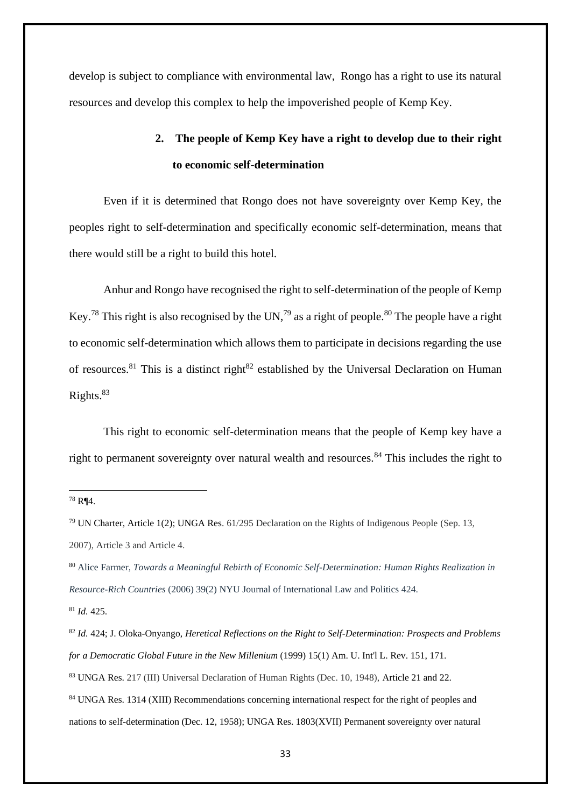develop is subject to compliance with environmental law, Rongo has a right to use its natural resources and develop this complex to help the impoverished people of Kemp Key.

# **2. The people of Kemp Key have a right to develop due to their right to economic self-determination**

Even if it is determined that Rongo does not have sovereignty over Kemp Key, the peoples right to self-determination and specifically economic self-determination, means that there would still be a right to build this hotel.

Anhur and Rongo have recognised the right to self-determination of the people of Kemp Key.<sup>78</sup> This right is also recognised by the UN,<sup>79</sup> as a right of people.<sup>80</sup> The people have a right to economic self-determination which allows them to participate in decisions regarding the use of resources.<sup>81</sup> This is a distinct right<sup>82</sup> established by the Universal Declaration on Human Rights. $83$ 

This right to economic self-determination means that the people of Kemp key have a right to permanent sovereignty over natural wealth and resources.<sup>84</sup> This includes the right to

<sup>80</sup> Alice Farmer, *Towards a Meaningful Rebirth of Economic Self-Determination: Human Rights Realization in Resource-Rich Countries* (2006) 39(2) NYU Journal of International Law and Politics 424.

<sup>78</sup> R¶4.

<sup>79</sup> UN Charter, Article 1(2); UNGA Res. 61/295 Declaration on the Rights of Indigenous People (Sep. 13, 2007), Article 3 and Article 4.

<sup>81</sup> *Id.* 425.

<sup>82</sup> *Id.* 424; J. Oloka-Onyango, *Heretical Reflections on the Right to Self-Determination: Prospects and Problems for a Democratic Global Future in the New Millenium* (1999) 15(1) Am. U. Int'l L. Rev. 151, 171. <sup>83</sup> UNGA Res. 217 (III) Universal Declaration of Human Rights (Dec. 10, 1948), Article 21 and 22. <sup>84</sup> UNGA Res. 1314 (XIII) Recommendations concerning international respect for the right of peoples and nations to self-determination (Dec. 12, 1958); UNGA Res. 1803(XVII) Permanent sovereignty over natural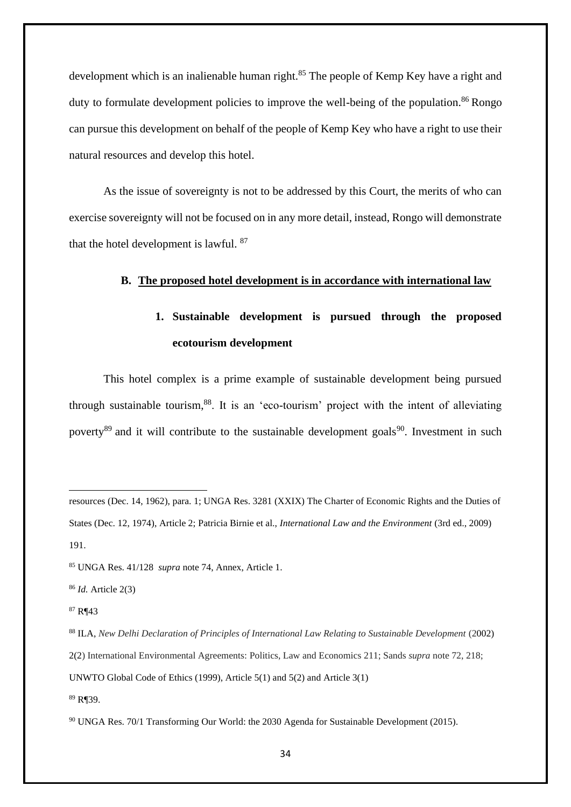development which is an inalienable human right.<sup>85</sup> The people of Kemp Key have a right and duty to formulate development policies to improve the well-being of the population.<sup>86</sup> Rongo can pursue this development on behalf of the people of Kemp Key who have a right to use their natural resources and develop this hotel.

As the issue of sovereignty is not to be addressed by this Court, the merits of who can exercise sovereignty will not be focused on in any more detail, instead, Rongo will demonstrate that the hotel development is lawful. <sup>87</sup>

#### **B. The proposed hotel development is in accordance with international law**

# **1. Sustainable development is pursued through the proposed ecotourism development**

This hotel complex is a prime example of sustainable development being pursued through sustainable tourism, $88$ . It is an 'eco-tourism' project with the intent of alleviating poverty<sup>89</sup> and it will contribute to the sustainable development goals<sup>90</sup>. Investment in such

resources (Dec. 14, 1962), para. 1; UNGA Res. 3281 (XXIX) The Charter of Economic Rights and the Duties of States (Dec. 12, 1974), Article 2; Patricia Birnie et al., *International Law and the Environment* (3rd ed., 2009) 191.

<sup>85</sup> UNGA Res. 41/128 *supra* note 74, Annex, Article 1.

<sup>86</sup> *Id.* Article 2(3)

<sup>87</sup> R¶43

<sup>88</sup> ILA, *New Delhi Declaration of Principles of International Law Relating to Sustainable Development* (2002) 2(2) [International Environmental Agreements:](https://www.proquest.com/pubidlinkhandler/sng/pubtitle/International+Environmental+Agreements+:+Politics,+Law+and+Economics/$N/25829/PagePdf/195515638/fulltextPDF/D85C26C7C6D7409BPQ/1?accountid=12309) Politics, Law and Economics 211; Sands *supra* note 72, 218; UNWTO Global Code of Ethics (1999), Article 5(1) and 5(2) and Article 3(1) <sup>89</sup> R¶39.

<sup>90</sup> UNGA Res. 70/1 Transforming Our World: the 2030 Agenda for Sustainable Development (2015).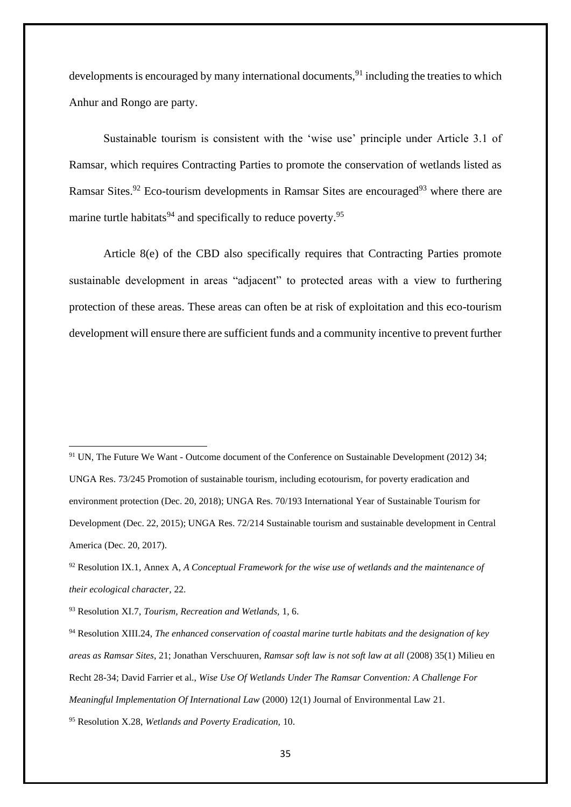developments is encouraged by many international documents,  $91$  including the treaties to which Anhur and Rongo are party.

Sustainable tourism is consistent with the 'wise use' principle under Article 3.1 of Ramsar, which requires Contracting Parties to promote the conservation of wetlands listed as Ramsar Sites.<sup>92</sup> Eco-tourism developments in Ramsar Sites are encouraged<sup>93</sup> where there are marine turtle habitats<sup>94</sup> and specifically to reduce poverty.<sup>95</sup>

Article 8(e) of the CBD also specifically requires that Contracting Parties promote sustainable development in areas "adjacent" to protected areas with a view to furthering protection of these areas. These areas can often be at risk of exploitation and this eco-tourism development will ensure there are sufficient funds and a community incentive to prevent further

<sup>91</sup> UN, The Future We Want - Outcome document of the Conference on Sustainable Development (2012) 34; UNGA Res. 73/245 Promotion of sustainable tourism, including ecotourism, for poverty eradication and environment protection (Dec. 20, 2018); UNGA Res. 70/193 International Year of Sustainable Tourism for Development (Dec. 22, 2015); UNGA Res. 72/214 Sustainable tourism and sustainable development in Central America (Dec. 20, 2017).

<sup>92</sup> Resolution IX.1, Annex A, *A Conceptual Framework for the wise use of wetlands and the maintenance of their ecological character,* 22.

<sup>93</sup> Resolution XI.7, *Tourism, Recreation and Wetlands,* 1, 6.

<sup>94</sup> Resolution XIII.24, *The enhanced conservation of coastal marine turtle habitats and the designation of key areas as Ramsar Sites*, 21; Jonathan Verschuuren, *Ramsar soft law is not soft law at all* (2008) 35(1) Milieu en Recht 28-34; David Farrier et al., *Wise Use Of Wetlands Under The Ramsar Convention: A Challenge For Meaningful Implementation Of International Law* (2000) 12(1) Journal of Environmental Law 21.

<sup>95</sup> Resolution X.28, *Wetlands and Poverty Eradication,* 10.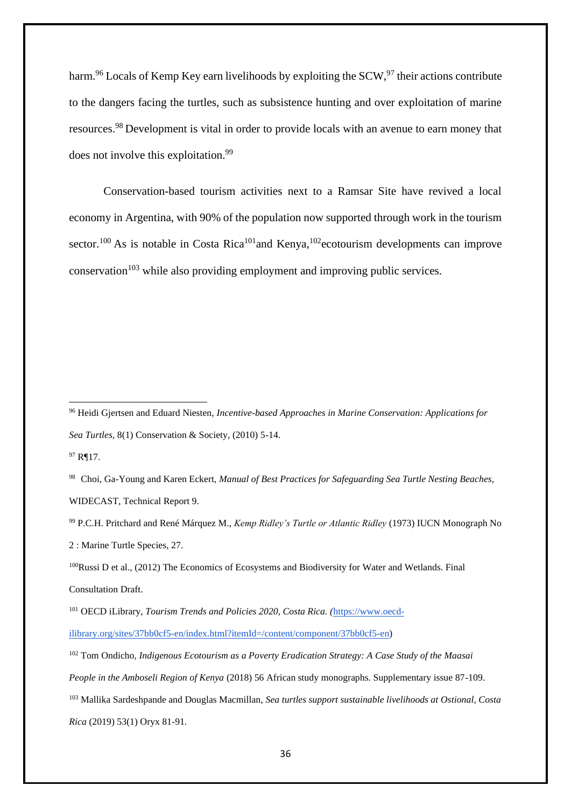harm.<sup>96</sup> Locals of Kemp Key earn livelihoods by exploiting the SCW,<sup>97</sup> their actions contribute to the dangers facing the turtles, such as subsistence hunting and over exploitation of marine resources.<sup>98</sup> Development is vital in order to provide locals with an avenue to earn money that does not involve this exploitation.<sup>99</sup>

Conservation-based tourism activities next to a Ramsar Site have revived a local economy in Argentina, with 90% of the population now supported through work in the tourism sector.<sup>100</sup> As is notable in Costa Rica<sup>101</sup>and Kenya,<sup>102</sup>ecotourism developments can improve  $\alpha$ conservation<sup>103</sup> while also providing employment and improving public services.

<sup>98</sup>Choi, Ga-Young and Karen Eckert, *Manual of Best Practices for Safeguarding Sea Turtle Nesting Beaches,*  WIDECAST, Technical Report 9.

<sup>99</sup> P.C.H. Pritchard and René Márquez M., *Kemp Ridley's Turtle or Atlantic Ridley* (1973) IUCN Monograph No 2 : Marine Turtle Species, 27.

<sup>100</sup>Russi D et al., (2012) The Economics of Ecosystems and Biodiversity for Water and Wetlands. Final Consultation Draft.

[ilibrary.org/sites/37bb0cf5-en/index.html?itemId=/content/component/37bb0cf5-en\)](https://www.oecd-ilibrary.org/sites/37bb0cf5-en/index.html?itemId=/content/component/37bb0cf5-en)

<sup>102</sup> Tom Ondicho, *Indigenous Ecotourism as a Poverty Eradication Strategy: A Case Study of the Maasai People in the Amboseli Region of Kenya* (2018) 56 African study monographs. Supplementary issue 87-109. <sup>103</sup> Mallika Sardeshpande and Douglas Macmillan, *Sea turtles support sustainable livelihoods at Ostional, Costa Rica* (2019) 53(1) Oryx 81-91.

<sup>96</sup> Heidi Gjertsen and Eduard Niesten, *Incentive-based Approaches in Marine Conservation: Applications for Sea Turtles*, 8(1) Conservation & Society, (2010) 5-14.

<sup>97</sup> R¶17.

<sup>101</sup> OECD iLibrary, *Tourism Trends and Policies 2020, Costa Rica. (*[https://www.oecd-](https://www.oecd-ilibrary.org/sites/37bb0cf5-en/index.html?itemId=/content/component/37bb0cf5-en)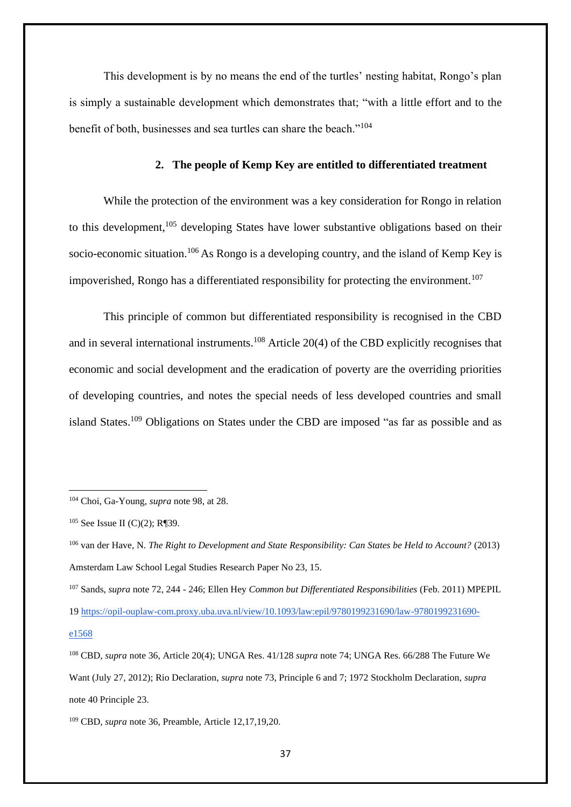This development is by no means the end of the turtles' nesting habitat, Rongo's plan is simply a sustainable development which demonstrates that; "with a little effort and to the benefit of both, businesses and sea turtles can share the beach."<sup>104</sup>

### **2. The people of Kemp Key are entitled to differentiated treatment**

While the protection of the environment was a key consideration for Rongo in relation to this development,<sup>105</sup> developing States have lower substantive obligations based on their socio-economic situation.<sup>106</sup> As Rongo is a developing country, and the island of Kemp Key is impoverished, Rongo has a differentiated responsibility for protecting the environment.<sup>107</sup>

This principle of common but differentiated responsibility is recognised in the CBD and in several international instruments.<sup>108</sup> Article 20(4) of the CBD explicitly recognises that economic and social development and the eradication of poverty are the overriding priorities of developing countries, and notes the special needs of less developed countries and small island States.<sup>109</sup> Obligations on States under the CBD are imposed "as far as possible and as

<sup>104</sup> Choi, Ga-Young, *supra* note 98, at 28.

 $105$  See Issue II (C)(2); R¶39.

<sup>106</sup> van der Have, N. *The Right to Development and State Responsibility: Can States be Held to Account?* (2013) Amsterdam Law School Legal Studies Research Paper No 23, 15.

<sup>107</sup> Sands, *supra* note 72, 244 - 246; Ellen Hey *Common but Differentiated Responsibilities* (Feb. 2011) MPEPIL 1[9 https://opil-ouplaw-com.proxy.uba.uva.nl/view/10.1093/law:epil/9780199231690/law-9780199231690](https://opil-ouplaw-com.proxy.uba.uva.nl/view/10.1093/law:epil/9780199231690/law-9780199231690-e1568) [e1568](https://opil-ouplaw-com.proxy.uba.uva.nl/view/10.1093/law:epil/9780199231690/law-9780199231690-e1568)

<sup>108</sup> CBD, *supra* note 36, Article 20(4); UNGA Res. 41/128 *supra* note 74; UNGA Res. 66/288 The Future We Want (July 27, 2012); Rio Declaration, *supra* note 73, Principle 6 and 7; 1972 Stockholm Declaration, *supra*  note 40 Principle 23.

<sup>109</sup> CBD, *supra* note 36, Preamble, Article 12,17,19,20.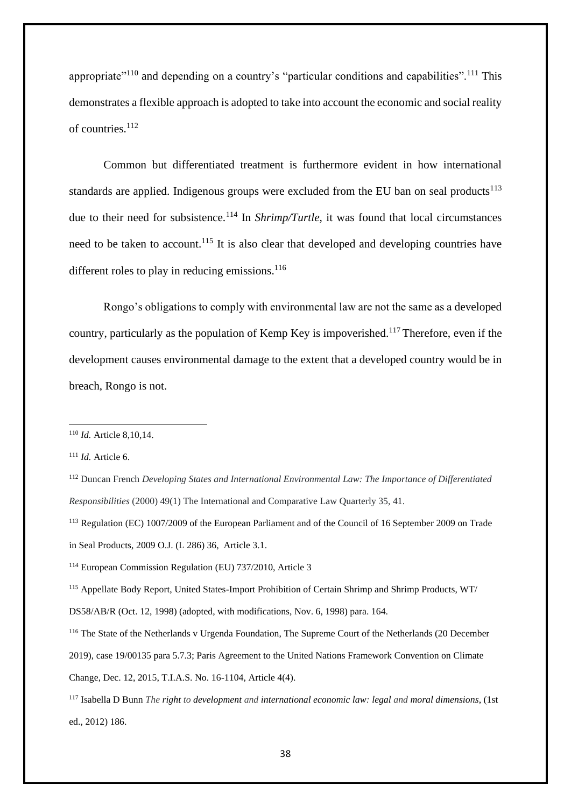appropriate<sup> $110$ </sup> and depending on a country's "particular conditions and capabilities".<sup>111</sup> This demonstrates a flexible approach is adopted to take into account the economic and social reality of countries.<sup>112</sup>

Common but differentiated treatment is furthermore evident in how international standards are applied. Indigenous groups were excluded from the EU ban on seal products<sup>113</sup> due to their need for subsistence.<sup>114</sup> In *Shrimp/Turtle*, it was found that local circumstances need to be taken to account.<sup>115</sup> It is also clear that developed and developing countries have different roles to play in reducing emissions. $116$ 

Rongo's obligations to comply with environmental law are not the same as a developed country, particularly as the population of Kemp Key is impoverished.<sup>117</sup> Therefore, even if the development causes environmental damage to the extent that a developed country would be in breach, Rongo is not.

<sup>110</sup> *Id.* Article 8,10,14.

<sup>111</sup> *Id.* Article 6.

<sup>112</sup> Duncan French *Developing States and International Environmental Law: The Importance of Differentiated Responsibilities* (2000) 49(1) The International and Comparative Law Quarterly 35, 41.

<sup>113</sup> Regulation (EC) 1007/2009 of the European Parliament and of the Council of 16 September 2009 on Trade in Seal Products, 2009 O.J. (L 286) 36, Article 3.1.

<sup>114</sup> European Commission Regulation (EU) 737/2010, Article 3

<sup>115</sup> Appellate Body Report, United States-Import Prohibition of Certain Shrimp and Shrimp Products, WT/

DS58/AB/R (Oct. 12, 1998) (adopted, with modifications, Nov. 6, 1998) para. 164.

<sup>116</sup> The State of the Netherlands v Urgenda Foundation, The Supreme Court of the Netherlands (20 December 2019), case 19/00135 para 5.7.3; Paris Agreement to the United Nations Framework Convention on Climate Change, Dec. 12, 2015, T.I.A.S. No. 16-1104, Article 4(4).

<sup>117</sup> Isabella D Bunn *The right to development and international economic law: legal and moral dimensions*, (1st ed., 2012) 186.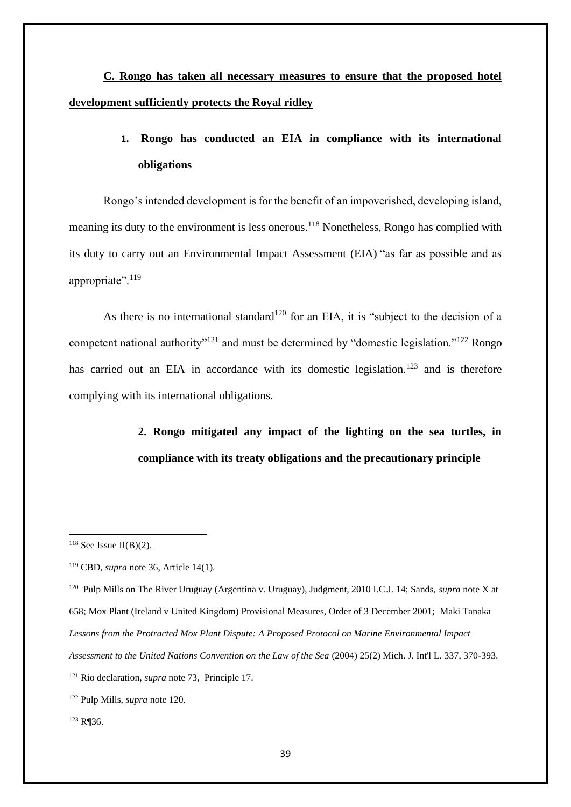**C. Rongo has taken all necessary measures to ensure that the proposed hotel development sufficiently protects the Royal ridley**

# **1. Rongo has conducted an EIA in compliance with its international obligations**

Rongo's intended development is for the benefit of an impoverished, developing island, meaning its duty to the environment is less onerous.<sup>118</sup> Nonetheless, Rongo has complied with its duty to carry out an Environmental Impact Assessment (EIA) "as far as possible and as appropriate".<sup>119</sup>

As there is no international standard<sup>120</sup> for an EIA, it is "subject to the decision of a competent national authority"<sup>121</sup> and must be determined by "domestic legislation."<sup>122</sup> Rongo has carried out an EIA in accordance with its domestic legislation.<sup>123</sup> and is therefore complying with its international obligations.

> **2. Rongo mitigated any impact of the lighting on the sea turtles, in compliance with its treaty obligations and the precautionary principle**

120 Pulp Mills on The River Uruguay (Argentina v. Uruguay), Judgment, 2010 I.C.J. 14; Sands, *supra* note X at 658; Mox Plant (Ireland v United Kingdom) Provisional Measures, Order of 3 December 2001; Maki Tanaka *Lessons from the Protracted Mox Plant Dispute: A Proposed Protocol on Marine Environmental Impact Assessment to the United Nations Convention on the Law of the Sea* (2004) 25(2) Mich. J. Int'l L. 337, 370-393.

<sup>123</sup> R¶36.

 $118$  See Issue II(B)(2).

<sup>119</sup> CBD, *supra* note 36, Article 14(1).

<sup>121</sup> Rio declaration, *supra* note 73, Principle 17.

<sup>122</sup> Pulp Mills, *supra* note 120.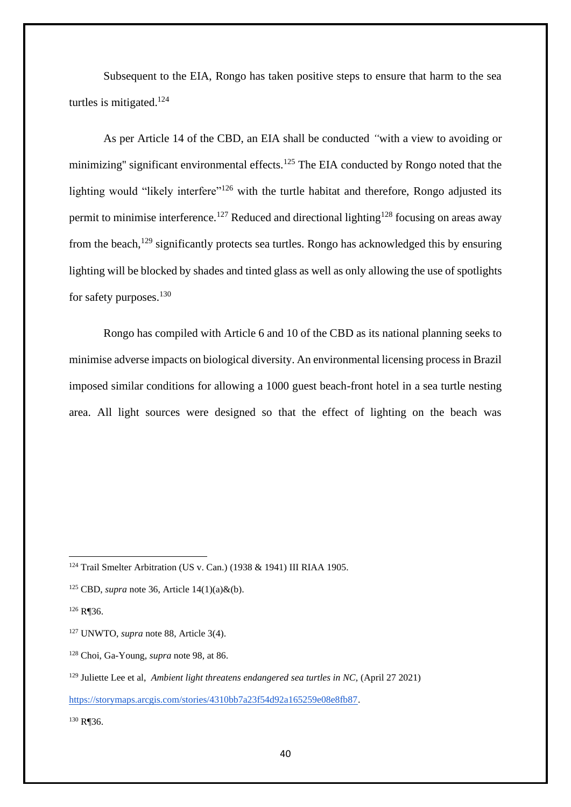Subsequent to the EIA, Rongo has taken positive steps to ensure that harm to the sea turtles is mitigated. $124$ 

As per Article 14 of the CBD, an EIA shall be conducted *"*with a view to avoiding or minimizing" significant environmental effects.<sup>125</sup> The EIA conducted by Rongo noted that the lighting would "likely interfere"<sup>126</sup> with the turtle habitat and therefore, Rongo adjusted its permit to minimise interference.<sup>127</sup> Reduced and directional lighting<sup>128</sup> focusing on areas away from the beach,<sup>129</sup> significantly protects sea turtles. Rongo has acknowledged this by ensuring lighting will be blocked by shades and tinted glass as well as only allowing the use of spotlights for safety purposes.<sup>130</sup>

Rongo has compiled with Article 6 and 10 of the CBD as its national planning seeks to minimise adverse impacts on biological diversity. An environmental licensing process in Brazil imposed similar conditions for allowing a 1000 guest beach-front hotel in a sea turtle nesting area. All light sources were designed so that the effect of lighting on the beach was

<sup>130</sup> R¶36.

<sup>124</sup> Trail Smelter Arbitration (US v. Can.) (1938 & 1941) III RIAA 1905.

<sup>125</sup> CBD, *supra* note 36, Article 14(1)(a)&(b).

<sup>126</sup> R¶36.

<sup>127</sup> UNWTO, *supra* note 88, Article 3(4).

<sup>128</sup> Choi, Ga-Young, *supra* note 98, at 86.

<sup>&</sup>lt;sup>129</sup> Juliette Lee et al, *Ambient light threatens endangered sea turtles in NC*, (April 27 2021)

[https://storymaps.arcgis.com/stories/4310bb7a23f54d92a165259e08e8fb87.](https://storymaps.arcgis.com/stories/4310bb7a23f54d92a165259e08e8fb87)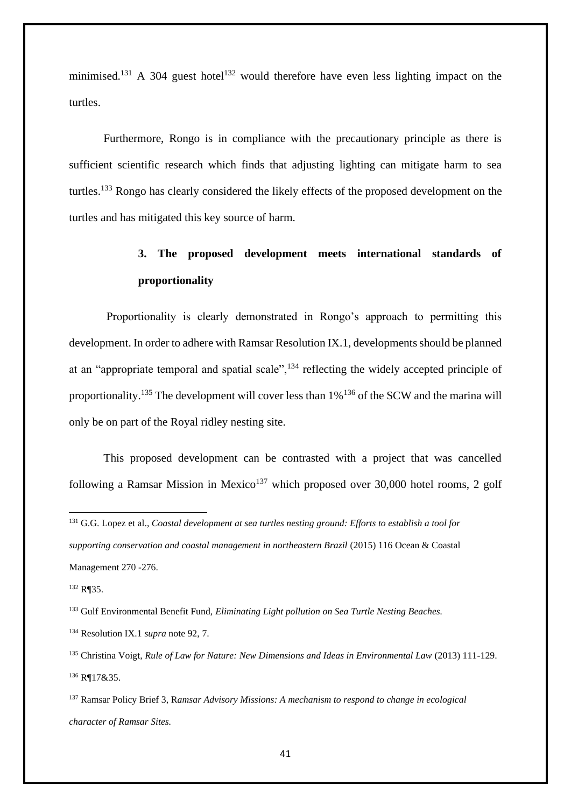minimised.<sup>131</sup> A 304 guest hotel<sup>132</sup> would therefore have even less lighting impact on the turtles.

Furthermore, Rongo is in compliance with the precautionary principle as there is sufficient scientific research which finds that adjusting lighting can mitigate harm to sea turtles.<sup>133</sup> Rongo has clearly considered the likely effects of the proposed development on the turtles and has mitigated this key source of harm.

# **3. The proposed development meets international standards of proportionality**

Proportionality is clearly demonstrated in Rongo's approach to permitting this development. In order to adhere with Ramsar Resolution IX.1, developments should be planned at an "appropriate temporal and spatial scale",  $134$  reflecting the widely accepted principle of proportionality.<sup>135</sup> The development will cover less than  $1\%$ <sup>136</sup> of the SCW and the marina will only be on part of the Royal ridley nesting site.

This proposed development can be contrasted with a project that was cancelled following a Ramsar Mission in Mexico<sup>137</sup> which proposed over 30,000 hotel rooms, 2 golf

<sup>131</sup> G.G. Lopez et al., *Coastal development at sea turtles nesting ground: Efforts to establish a tool for supporting conservation and coastal management in northeastern Brazil* (2015) 116 Ocean & Coastal Management 270 -276.

<sup>132</sup> R¶35.

<sup>133</sup> Gulf Environmental Benefit Fund, *Eliminating Light pollution on Sea Turtle Nesting Beaches.*

<sup>134</sup> Resolution IX.1 *supra* note 92, 7.

<sup>&</sup>lt;sup>135</sup> Christina Voigt, *Rule of Law for Nature: New Dimensions and Ideas in Environmental Law (2013)* 111-129. <sup>136</sup> R¶17&35.

<sup>137</sup> Ramsar Policy Brief 3, R*amsar Advisory Missions: A mechanism to respond to change in ecological character of Ramsar Sites.*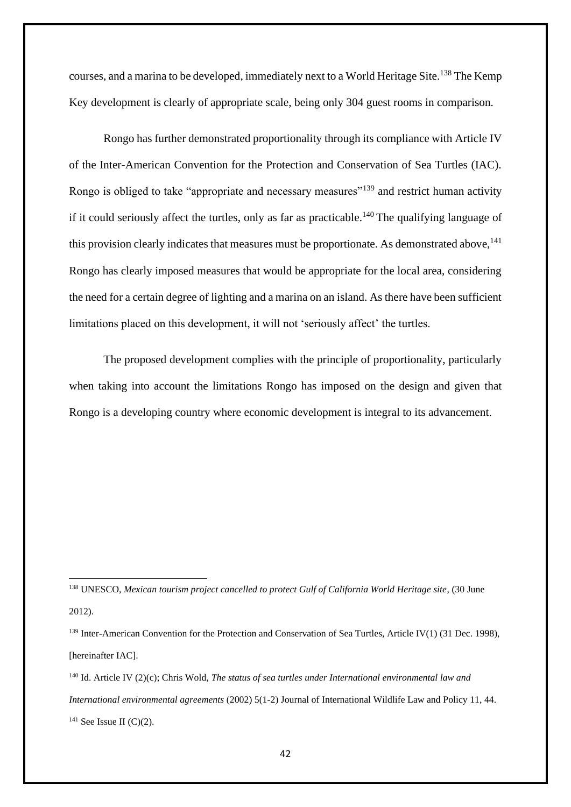courses, and a marina to be developed, immediately next to a World Heritage Site.<sup>138</sup> The Kemp Key development is clearly of appropriate scale, being only 304 guest rooms in comparison.

Rongo has further demonstrated proportionality through its compliance with Article IV of the Inter-American Convention for the Protection and Conservation of Sea Turtles (IAC). Rongo is obliged to take "appropriate and necessary measures"<sup>139</sup> and restrict human activity if it could seriously affect the turtles, only as far as practicable.<sup>140</sup> The qualifying language of this provision clearly indicates that measures must be proportionate. As demonstrated above,  $141$ Rongo has clearly imposed measures that would be appropriate for the local area, considering the need for a certain degree of lighting and a marina on an island. As there have been sufficient limitations placed on this development, it will not 'seriously affect' the turtles.

The proposed development complies with the principle of proportionality, particularly when taking into account the limitations Rongo has imposed on the design and given that Rongo is a developing country where economic development is integral to its advancement.

<sup>138</sup> UNESCO, *Mexican tourism project cancelled to protect Gulf of California World Heritage site*, (30 June 2012).

<sup>&</sup>lt;sup>139</sup> Inter-American Convention for the Protection and Conservation of Sea Turtles, Article IV(1) (31 Dec. 1998), [hereinafter IAC].

<sup>140</sup> Id. Article IV (2)(c); Chris Wold, *The status of sea turtles under International environmental law and International environmental agreements* (2002) 5(1-2) Journal of International Wildlife Law and Policy 11, 44.  $141$  See Issue II (C)(2).